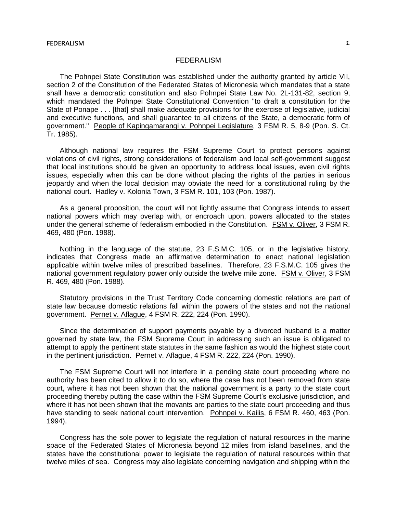# FEDERALISM

The Pohnpei State Constitution was established under the authority granted by article VII, section 2 of the Constitution of the Federated States of Micronesia which mandates that a state shall have a democratic constitution and also Pohnpei State Law No. 2L-131-82, section 9, which mandated the Pohnpei State Constitutional Convention "to draft a constitution for the State of Ponape . . . [that] shall make adequate provisions for the exercise of legislative, judicial and executive functions, and shall guarantee to all citizens of the State, a democratic form of government." People of Kapingamarangi v. Pohnpei Legislature, 3 FSM R. 5, 8-9 (Pon. S. Ct. Tr. 1985).

Although national law requires the FSM Supreme Court to protect persons against violations of civil rights, strong considerations of federalism and local self-government suggest that local institutions should be given an opportunity to address local issues, even civil rights issues, especially when this can be done without placing the rights of the parties in serious jeopardy and when the local decision may obviate the need for a constitutional ruling by the national court. Hadley v. Kolonia Town, 3 FSM R. 101, 103 (Pon. 1987).

As a general proposition, the court will not lightly assume that Congress intends to assert national powers which may overlap with, or encroach upon, powers allocated to the states under the general scheme of federalism embodied in the Constitution. FSM v. Oliver, 3 FSM R. 469, 480 (Pon. 1988).

Nothing in the language of the statute, 23 F.S.M.C. 105, or in the legislative history, indicates that Congress made an affirmative determination to enact national legislation applicable within twelve miles of prescribed baselines. Therefore, 23 F.S.M.C. 105 gives the national government regulatory power only outside the twelve mile zone. FSM v. Oliver, 3 FSM R. 469, 480 (Pon. 1988).

Statutory provisions in the Trust Territory Code concerning domestic relations are part of state law because domestic relations fall within the powers of the states and not the national government. Pernet v. Aflague, 4 FSM R. 222, 224 (Pon. 1990).

Since the determination of support payments payable by a divorced husband is a matter governed by state law, the FSM Supreme Court in addressing such an issue is obligated to attempt to apply the pertinent state statutes in the same fashion as would the highest state court in the pertinent jurisdiction. Pernet v. Aflague, 4 FSM R. 222, 224 (Pon. 1990).

The FSM Supreme Court will not interfere in a pending state court proceeding where no authority has been cited to allow it to do so, where the case has not been removed from state court, where it has not been shown that the national government is a party to the state court proceeding thereby putting the case within the FSM Supreme Court's exclusive jurisdiction, and where it has not been shown that the movants are parties to the state court proceeding and thus have standing to seek national court intervention. Pohnpei v. Kailis, 6 FSM R. 460, 463 (Pon. 1994).

Congress has the sole power to legislate the regulation of natural resources in the marine space of the Federated States of Micronesia beyond 12 miles from island baselines, and the states have the constitutional power to legislate the regulation of natural resources within that twelve miles of sea. Congress may also legislate concerning navigation and shipping within the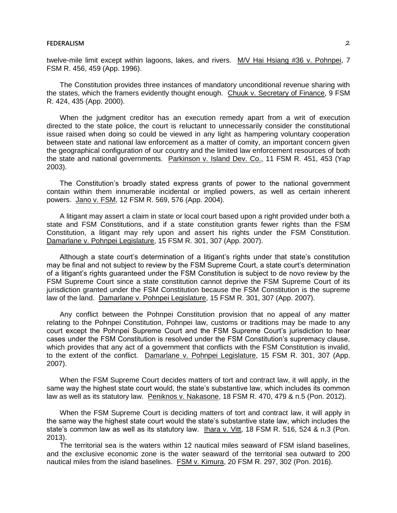### **FEDERALISM** 2

twelve-mile limit except within lagoons, lakes, and rivers. M/V Hai Hsiang #36 v. Pohnpei, 7 FSM R. 456, 459 (App. 1996).

The Constitution provides three instances of mandatory unconditional revenue sharing with the states, which the framers evidently thought enough. Chuuk v. Secretary of Finance, 9 FSM R. 424, 435 (App. 2000).

When the judgment creditor has an execution remedy apart from a writ of execution directed to the state police, the court is reluctant to unnecessarily consider the constitutional issue raised when doing so could be viewed in any light as hampering voluntary cooperation between state and national law enforcement as a matter of comity, an important concern given the geographical configuration of our country and the limited law enforcement resources of both the state and national governments. Parkinson v. Island Dev. Co., 11 FSM R. 451, 453 (Yap 2003).

The Constitution's broadly stated express grants of power to the national government contain within them innumerable incidental or implied powers, as well as certain inherent powers. Jano v. FSM, 12 FSM R. 569, 576 (App. 2004).

A litigant may assert a claim in state or local court based upon a right provided under both a state and FSM Constitutions, and if a state constitution grants fewer rights than the FSM Constitution, a litigant may rely upon and assert his rights under the FSM Constitution. Damarlane v. Pohnpei Legislature, 15 FSM R. 301, 307 (App. 2007).

Although a state court's determination of a litigant's rights under that state's constitution may be final and not subject to review by the FSM Supreme Court, a state court's determination of a litigant's rights guaranteed under the FSM Constitution is subject to de novo review by the FSM Supreme Court since a state constitution cannot deprive the FSM Supreme Court of its jurisdiction granted under the FSM Constitution because the FSM Constitution is the supreme law of the land. Damarlane v. Pohnpei Legislature, 15 FSM R. 301, 307 (App. 2007).

Any conflict between the Pohnpei Constitution provision that no appeal of any matter relating to the Pohnpei Constitution, Pohnpei law, customs or traditions may be made to any court except the Pohnpei Supreme Court and the FSM Supreme Court's jurisdiction to hear cases under the FSM Constitution is resolved under the FSM Constitution's supremacy clause, which provides that any act of a government that conflicts with the FSM Constitution is invalid, to the extent of the conflict. Damarlane v. Pohnpei Legislature, 15 FSM R. 301, 307 (App. 2007).

When the FSM Supreme Court decides matters of tort and contract law, it will apply, in the same way the highest state court would, the state's substantive law, which includes its common law as well as its statutory law. Peniknos v. Nakasone, 18 FSM R. 470, 479 & n.5 (Pon. 2012).

When the FSM Supreme Court is deciding matters of tort and contract law, it will apply in the same way the highest state court would the state's substantive state law, which includes the state's common law as well as its statutory law. Ihara v. Vitt, 18 FSM R. 516, 524 & n.3 (Pon. 2013).

The territorial sea is the waters within 12 nautical miles seaward of FSM island baselines, and the exclusive economic zone is the water seaward of the territorial sea outward to 200 nautical miles from the island baselines. FSM v. Kimura, 20 FSM R. 297, 302 (Pon. 2016).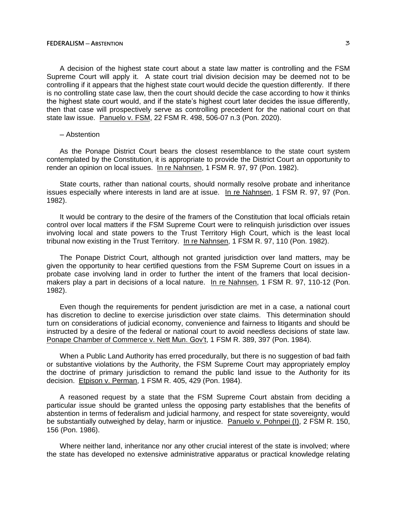A decision of the highest state court about a state law matter is controlling and the FSM Supreme Court will apply it. A state court trial division decision may be deemed not to be controlling if it appears that the highest state court would decide the question differently. If there is no controlling state case law, then the court should decide the case according to how it thinks the highest state court would, and if the state's highest court later decides the issue differently, then that case will prospectively serve as controlling precedent for the national court on that state law issue. Panuelo v. FSM, 22 FSM R. 498, 506-07 n.3 (Pon. 2020).

### ─ Abstention

As the Ponape District Court bears the closest resemblance to the state court system contemplated by the Constitution, it is appropriate to provide the District Court an opportunity to render an opinion on local issues. In re Nahnsen, 1 FSM R. 97, 97 (Pon. 1982).

State courts, rather than national courts, should normally resolve probate and inheritance issues especially where interests in land are at issue. In re Nahnsen, 1 FSM R. 97, 97 (Pon. 1982).

It would be contrary to the desire of the framers of the Constitution that local officials retain control over local matters if the FSM Supreme Court were to relinquish jurisdiction over issues involving local and state powers to the Trust Territory High Court, which is the least local tribunal now existing in the Trust Territory. In re Nahnsen, 1 FSM R. 97, 110 (Pon. 1982).

The Ponape District Court, although not granted jurisdiction over land matters, may be given the opportunity to hear certified questions from the FSM Supreme Court on issues in a probate case involving land in order to further the intent of the framers that local decisionmakers play a part in decisions of a local nature. In re Nahnsen, 1 FSM R. 97, 110-12 (Pon. 1982).

Even though the requirements for pendent jurisdiction are met in a case, a national court has discretion to decline to exercise jurisdiction over state claims. This determination should turn on considerations of judicial economy, convenience and fairness to litigants and should be instructed by a desire of the federal or national court to avoid needless decisions of state law. Ponape Chamber of Commerce v. Nett Mun. Gov't, 1 FSM R. 389, 397 (Pon. 1984).

When a Public Land Authority has erred procedurally, but there is no suggestion of bad faith or substantive violations by the Authority, the FSM Supreme Court may appropriately employ the doctrine of primary jurisdiction to remand the public land issue to the Authority for its decision. Etpison v. Perman, 1 FSM R. 405, 429 (Pon. 1984).

A reasoned request by a state that the FSM Supreme Court abstain from deciding a particular issue should be granted unless the opposing party establishes that the benefits of abstention in terms of federalism and judicial harmony, and respect for state sovereignty, would be substantially outweighed by delay, harm or injustice. Panuelo v. Pohnpei (I), 2 FSM R. 150, 156 (Pon. 1986).

Where neither land, inheritance nor any other crucial interest of the state is involved; where the state has developed no extensive administrative apparatus or practical knowledge relating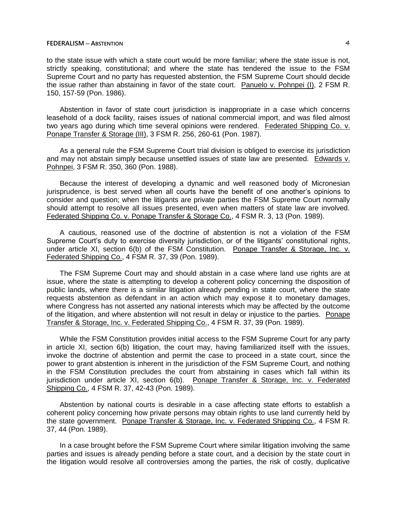to the state issue with which a state court would be more familiar; where the state issue is not, strictly speaking, constitutional; and where the state has tendered the issue to the FSM Supreme Court and no party has requested abstention, the FSM Supreme Court should decide the issue rather than abstaining in favor of the state court. Panuelo v. Pohnpei (I), 2 FSM R. 150, 157-59 (Pon. 1986).

Abstention in favor of state court jurisdiction is inappropriate in a case which concerns leasehold of a dock facility, raises issues of national commercial import, and was filed almost two years ago during which time several opinions were rendered. Federated Shipping Co. v. Ponape Transfer & Storage (III), 3 FSM R. 256, 260-61 (Pon. 1987).

As a general rule the FSM Supreme Court trial division is obliged to exercise its jurisdiction and may not abstain simply because unsettled issues of state law are presented. Edwards v. Pohnpei, 3 FSM R. 350, 360 (Pon. 1988).

Because the interest of developing a dynamic and well reasoned body of Micronesian jurisprudence, is best served when all courts have the benefit of one another's opinions to consider and question; when the litigants are private parties the FSM Supreme Court normally should attempt to resolve all issues presented, even when matters of state law are involved. Federated Shipping Co. v. Ponape Transfer & Storage Co., 4 FSM R. 3, 13 (Pon. 1989).

A cautious, reasoned use of the doctrine of abstention is not a violation of the FSM Supreme Court's duty to exercise diversity jurisdiction, or of the litigants' constitutional rights, under article XI, section 6(b) of the FSM Constitution. Ponape Transfer & Storage, Inc. v. Federated Shipping Co., 4 FSM R. 37, 39 (Pon. 1989).

The FSM Supreme Court may and should abstain in a case where land use rights are at issue, where the state is attempting to develop a coherent policy concerning the disposition of public lands, where there is a similar litigation already pending in state court, where the state requests abstention as defendant in an action which may expose it to monetary damages, where Congress has not asserted any national interests which may be affected by the outcome of the litigation, and where abstention will not result in delay or injustice to the parties. Ponape Transfer & Storage, Inc. v. Federated Shipping Co., 4 FSM R. 37, 39 (Pon. 1989).

While the FSM Constitution provides initial access to the FSM Supreme Court for any party in article XI, section 6(b) litigation, the court may, having familiarized itself with the issues, invoke the doctrine of abstention and permit the case to proceed in a state court, since the power to grant abstention is inherent in the jurisdiction of the FSM Supreme Court, and nothing in the FSM Constitution precludes the court from abstaining in cases which fall within its jurisdiction under article XI, section 6(b). Ponape Transfer & Storage, Inc. v. Federated Shipping Co., 4 FSM R. 37, 42-43 (Pon. 1989).

Abstention by national courts is desirable in a case affecting state efforts to establish a coherent policy concerning how private persons may obtain rights to use land currently held by the state government. Ponape Transfer & Storage, Inc. v. Federated Shipping Co., 4 FSM R. 37, 44 (Pon. 1989).

In a case brought before the FSM Supreme Court where similar litigation involving the same parties and issues is already pending before a state court, and a decision by the state court in the litigation would resolve all controversies among the parties, the risk of costly, duplicative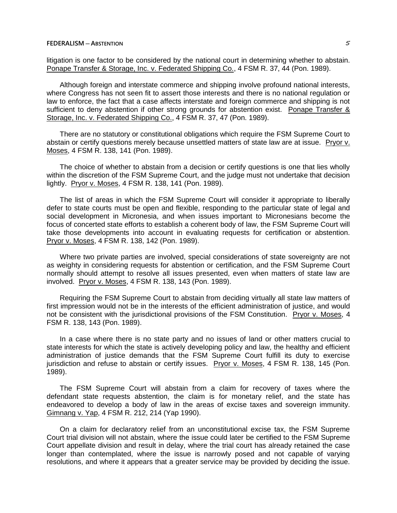litigation is one factor to be considered by the national court in determining whether to abstain. Ponape Transfer & Storage, Inc. v. Federated Shipping Co., 4 FSM R. 37, 44 (Pon. 1989).

Although foreign and interstate commerce and shipping involve profound national interests, where Congress has not seen fit to assert those interests and there is no national regulation or law to enforce, the fact that a case affects interstate and foreign commerce and shipping is not sufficient to deny abstention if other strong grounds for abstention exist. Ponape Transfer & Storage, Inc. v. Federated Shipping Co., 4 FSM R. 37, 47 (Pon. 1989).

There are no statutory or constitutional obligations which require the FSM Supreme Court to abstain or certify questions merely because unsettled matters of state law are at issue. Pryor v. Moses, 4 FSM R. 138, 141 (Pon. 1989).

The choice of whether to abstain from a decision or certify questions is one that lies wholly within the discretion of the FSM Supreme Court, and the judge must not undertake that decision lightly. Pryor v. Moses, 4 FSM R. 138, 141 (Pon. 1989).

The list of areas in which the FSM Supreme Court will consider it appropriate to liberally defer to state courts must be open and flexible, responding to the particular state of legal and social development in Micronesia, and when issues important to Micronesians become the focus of concerted state efforts to establish a coherent body of law, the FSM Supreme Court will take those developments into account in evaluating requests for certification or abstention. Pryor v. Moses, 4 FSM R. 138, 142 (Pon. 1989).

Where two private parties are involved, special considerations of state sovereignty are not as weighty in considering requests for abstention or certification, and the FSM Supreme Court normally should attempt to resolve all issues presented, even when matters of state law are involved. Pryor v. Moses, 4 FSM R. 138, 143 (Pon. 1989).

Requiring the FSM Supreme Court to abstain from deciding virtually all state law matters of first impression would not be in the interests of the efficient administration of justice, and would not be consistent with the jurisdictional provisions of the FSM Constitution. Pryor v. Moses, 4 FSM R. 138, 143 (Pon. 1989).

In a case where there is no state party and no issues of land or other matters crucial to state interests for which the state is actively developing policy and law, the healthy and efficient administration of justice demands that the FSM Supreme Court fulfill its duty to exercise jurisdiction and refuse to abstain or certify issues. Pryor v. Moses, 4 FSM R. 138, 145 (Pon. 1989).

The FSM Supreme Court will abstain from a claim for recovery of taxes where the defendant state requests abstention, the claim is for monetary relief, and the state has endeavored to develop a body of law in the areas of excise taxes and sovereign immunity. Gimnang v. Yap, 4 FSM R. 212, 214 (Yap 1990).

On a claim for declaratory relief from an unconstitutional excise tax, the FSM Supreme Court trial division will not abstain, where the issue could later be certified to the FSM Supreme Court appellate division and result in delay, where the trial court has already retained the case longer than contemplated, where the issue is narrowly posed and not capable of varying resolutions, and where it appears that a greater service may be provided by deciding the issue.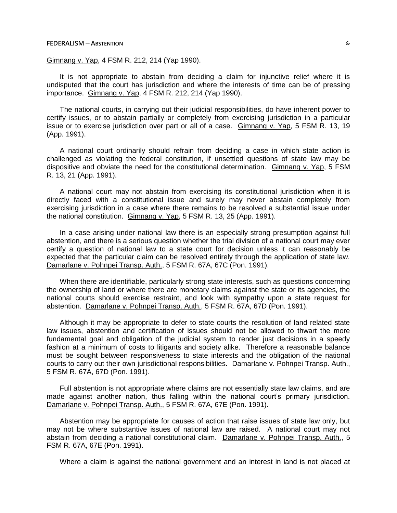## Gimnang v. Yap, 4 FSM R. 212, 214 (Yap 1990).

It is not appropriate to abstain from deciding a claim for injunctive relief where it is undisputed that the court has jurisdiction and where the interests of time can be of pressing importance. Gimnang v. Yap, 4 FSM R. 212, 214 (Yap 1990).

The national courts, in carrying out their judicial responsibilities, do have inherent power to certify issues, or to abstain partially or completely from exercising jurisdiction in a particular issue or to exercise jurisdiction over part or all of a case. Gimnang v. Yap, 5 FSM R. 13, 19 (App. 1991).

A national court ordinarily should refrain from deciding a case in which state action is challenged as violating the federal constitution, if unsettled questions of state law may be dispositive and obviate the need for the constitutional determination. Gimnang v. Yap, 5 FSM R. 13, 21 (App. 1991).

A national court may not abstain from exercising its constitutional jurisdiction when it is directly faced with a constitutional issue and surely may never abstain completely from exercising jurisdiction in a case where there remains to be resolved a substantial issue under the national constitution. Gimnang v. Yap, 5 FSM R. 13, 25 (App. 1991).

In a case arising under national law there is an especially strong presumption against full abstention, and there is a serious question whether the trial division of a national court may ever certify a question of national law to a state court for decision unless it can reasonably be expected that the particular claim can be resolved entirely through the application of state law. Damarlane v. Pohnpei Transp. Auth., 5 FSM R. 67A, 67C (Pon. 1991).

When there are identifiable, particularly strong state interests, such as questions concerning the ownership of land or where there are monetary claims against the state or its agencies, the national courts should exercise restraint, and look with sympathy upon a state request for abstention. Damarlane v. Pohnpei Transp. Auth., 5 FSM R. 67A, 67D (Pon. 1991).

Although it may be appropriate to defer to state courts the resolution of land related state law issues, abstention and certification of issues should not be allowed to thwart the more fundamental goal and obligation of the judicial system to render just decisions in a speedy fashion at a minimum of costs to litigants and society alike. Therefore a reasonable balance must be sought between responsiveness to state interests and the obligation of the national courts to carry out their own jurisdictional responsibilities. Damarlane v. Pohnpei Transp. Auth., 5 FSM R. 67A, 67D (Pon. 1991).

Full abstention is not appropriate where claims are not essentially state law claims, and are made against another nation, thus falling within the national court's primary jurisdiction. Damarlane v. Pohnpei Transp. Auth., 5 FSM R. 67A, 67E (Pon. 1991).

Abstention may be appropriate for causes of action that raise issues of state law only, but may not be where substantive issues of national law are raised. A national court may not abstain from deciding a national constitutional claim. Damarlane v. Pohnpei Transp. Auth., 5 FSM R. 67A, 67E (Pon. 1991).

Where a claim is against the national government and an interest in land is not placed at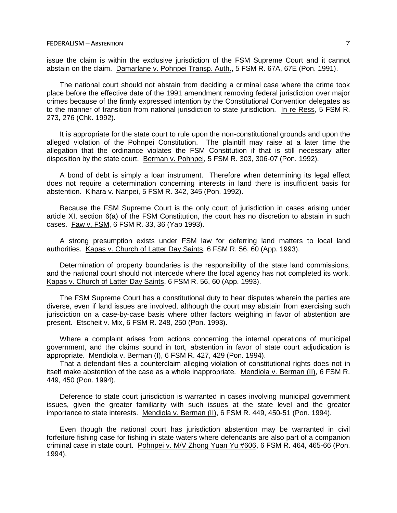issue the claim is within the exclusive jurisdiction of the FSM Supreme Court and it cannot abstain on the claim. Damarlane v. Pohnpei Transp. Auth., 5 FSM R. 67A, 67E (Pon. 1991).

The national court should not abstain from deciding a criminal case where the crime took place before the effective date of the 1991 amendment removing federal jurisdiction over major crimes because of the firmly expressed intention by the Constitutional Convention delegates as to the manner of transition from national jurisdiction to state jurisdiction. In re Ress, 5 FSM R. 273, 276 (Chk. 1992).

It is appropriate for the state court to rule upon the non-constitutional grounds and upon the alleged violation of the Pohnpei Constitution. The plaintiff may raise at a later time the allegation that the ordinance violates the FSM Constitution if that is still necessary after disposition by the state court. Berman v. Pohnpei, 5 FSM R. 303, 306-07 (Pon. 1992).

A bond of debt is simply a loan instrument. Therefore when determining its legal effect does not require a determination concerning interests in land there is insufficient basis for abstention. Kihara v. Nanpei, 5 FSM R. 342, 345 (Pon. 1992).

Because the FSM Supreme Court is the only court of jurisdiction in cases arising under article XI, section 6(a) of the FSM Constitution, the court has no discretion to abstain in such cases. Faw v. FSM, 6 FSM R. 33, 36 (Yap 1993).

A strong presumption exists under FSM law for deferring land matters to local land authorities. Kapas v. Church of Latter Day Saints, 6 FSM R. 56, 60 (App. 1993).

Determination of property boundaries is the responsibility of the state land commissions, and the national court should not intercede where the local agency has not completed its work. Kapas v. Church of Latter Day Saints, 6 FSM R. 56, 60 (App. 1993).

The FSM Supreme Court has a constitutional duty to hear disputes wherein the parties are diverse, even if land issues are involved, although the court may abstain from exercising such jurisdiction on a case-by-case basis where other factors weighing in favor of abstention are present. Etscheit v. Mix, 6 FSM R. 248, 250 (Pon. 1993).

Where a complaint arises from actions concerning the internal operations of municipal government, and the claims sound in tort, abstention in favor of state court adjudication is appropriate. Mendiola v. Berman (I), 6 FSM R. 427, 429 (Pon. 1994).

That a defendant files a counterclaim alleging violation of constitutional rights does not in itself make abstention of the case as a whole inappropriate. Mendiola v. Berman (II), 6 FSM R. 449, 450 (Pon. 1994).

Deference to state court jurisdiction is warranted in cases involving municipal government issues, given the greater familiarity with such issues at the state level and the greater importance to state interests. Mendiola v. Berman (II), 6 FSM R. 449, 450-51 (Pon. 1994).

Even though the national court has jurisdiction abstention may be warranted in civil forfeiture fishing case for fishing in state waters where defendants are also part of a companion criminal case in state court. Pohnpei v. M/V Zhong Yuan Yu #606, 6 FSM R. 464, 465-66 (Pon. 1994).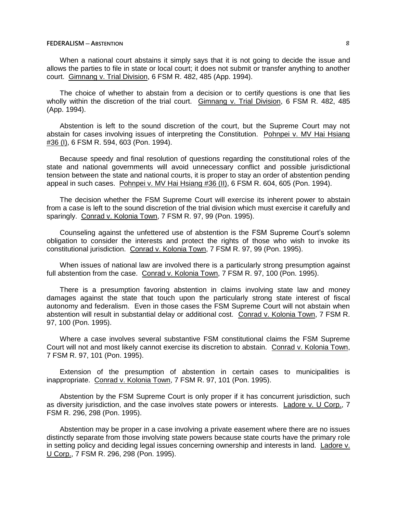When a national court abstains it simply says that it is not going to decide the issue and allows the parties to file in state or local court; it does not submit or transfer anything to another court. Gimnang v. Trial Division, 6 FSM R. 482, 485 (App. 1994).

The choice of whether to abstain from a decision or to certify questions is one that lies wholly within the discretion of the trial court. Gimnang v. Trial Division, 6 FSM R. 482, 485 (App. 1994).

Abstention is left to the sound discretion of the court, but the Supreme Court may not abstain for cases involving issues of interpreting the Constitution. Pohnpei v. MV Hai Hsiang #36 (I), 6 FSM R. 594, 603 (Pon. 1994).

Because speedy and final resolution of questions regarding the constitutional roles of the state and national governments will avoid unnecessary conflict and possible jurisdictional tension between the state and national courts, it is proper to stay an order of abstention pending appeal in such cases. Pohnpei v. MV Hai Hsiang #36 (II), 6 FSM R. 604, 605 (Pon. 1994).

The decision whether the FSM Supreme Court will exercise its inherent power to abstain from a case is left to the sound discretion of the trial division which must exercise it carefully and sparingly. Conrad v. Kolonia Town, 7 FSM R. 97, 99 (Pon. 1995).

Counseling against the unfettered use of abstention is the FSM Supreme Court's solemn obligation to consider the interests and protect the rights of those who wish to invoke its constitutional jurisdiction. Conrad v. Kolonia Town, 7 FSM R. 97, 99 (Pon. 1995).

When issues of national law are involved there is a particularly strong presumption against full abstention from the case. Conrad v. Kolonia Town, 7 FSM R. 97, 100 (Pon. 1995).

There is a presumption favoring abstention in claims involving state law and money damages against the state that touch upon the particularly strong state interest of fiscal autonomy and federalism. Even in those cases the FSM Supreme Court will not abstain when abstention will result in substantial delay or additional cost. Conrad v. Kolonia Town, 7 FSM R. 97, 100 (Pon. 1995).

Where a case involves several substantive FSM constitutional claims the FSM Supreme Court will not and most likely cannot exercise its discretion to abstain. Conrad v. Kolonia Town, 7 FSM R. 97, 101 (Pon. 1995).

Extension of the presumption of abstention in certain cases to municipalities is inappropriate. Conrad v. Kolonia Town, 7 FSM R. 97, 101 (Pon. 1995).

Abstention by the FSM Supreme Court is only proper if it has concurrent jurisdiction, such as diversity jurisdiction, and the case involves state powers or interests. Ladore v. U Corp., 7 FSM R. 296, 298 (Pon. 1995).

Abstention may be proper in a case involving a private easement where there are no issues distinctly separate from those involving state powers because state courts have the primary role in setting policy and deciding legal issues concerning ownership and interests in land. Ladore v. U Corp., 7 FSM R. 296, 298 (Pon. 1995).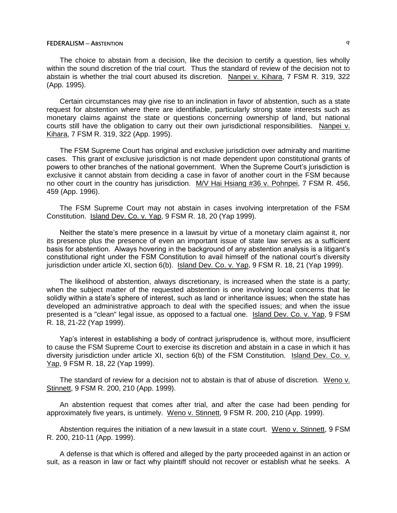The choice to abstain from a decision, like the decision to certify a question, lies wholly within the sound discretion of the trial court. Thus the standard of review of the decision not to abstain is whether the trial court abused its discretion. Nanpei v. Kihara, 7 FSM R. 319, 322 (App. 1995).

Certain circumstances may give rise to an inclination in favor of abstention, such as a state request for abstention where there are identifiable, particularly strong state interests such as monetary claims against the state or questions concerning ownership of land, but national courts still have the obligation to carry out their own jurisdictional responsibilities. Nanpei v. Kihara, 7 FSM R. 319, 322 (App. 1995).

The FSM Supreme Court has original and exclusive jurisdiction over admiralty and maritime cases. This grant of exclusive jurisdiction is not made dependent upon constitutional grants of powers to other branches of the national government. When the Supreme Court's jurisdiction is exclusive it cannot abstain from deciding a case in favor of another court in the FSM because no other court in the country has jurisdiction. M/V Hai Hsiang #36 v. Pohnpei, 7 FSM R. 456, 459 (App. 1996).

The FSM Supreme Court may not abstain in cases involving interpretation of the FSM Constitution. Island Dev. Co. v. Yap, 9 FSM R. 18, 20 (Yap 1999).

Neither the state's mere presence in a lawsuit by virtue of a monetary claim against it, nor its presence plus the presence of even an important issue of state law serves as a sufficient basis for abstention. Always hovering in the background of any abstention analysis is a litigant's constitutional right under the FSM Constitution to avail himself of the national court's diversity jurisdiction under article XI, section 6(b). Island Dev. Co. v. Yap, 9 FSM R. 18, 21 (Yap 1999).

The likelihood of abstention, always discretionary, is increased when the state is a party; when the subject matter of the requested abstention is one involving local concerns that lie solidly within a state's sphere of interest, such as land or inheritance issues; when the state has developed an administrative approach to deal with the specified issues; and when the issue presented is a "clean" legal issue, as opposed to a factual one. Island Dev. Co. v. Yap, 9 FSM R. 18, 21-22 (Yap 1999).

Yap's interest in establishing a body of contract jurisprudence is, without more, insufficient to cause the FSM Supreme Court to exercise its discretion and abstain in a case in which it has diversity jurisdiction under article XI, section 6(b) of the FSM Constitution. Island Dev. Co. v. Yap, 9 FSM R. 18, 22 (Yap 1999).

The standard of review for a decision not to abstain is that of abuse of discretion. Weno v. Stinnett, 9 FSM R. 200, 210 (App. 1999).

An abstention request that comes after trial, and after the case had been pending for approximately five years, is untimely. Weno v. Stinnett, 9 FSM R. 200, 210 (App. 1999).

Abstention requires the initiation of a new lawsuit in a state court. Weno v. Stinnett, 9 FSM R. 200, 210-11 (App. 1999).

A defense is that which is offered and alleged by the party proceeded against in an action or suit, as a reason in law or fact why plaintiff should not recover or establish what he seeks. A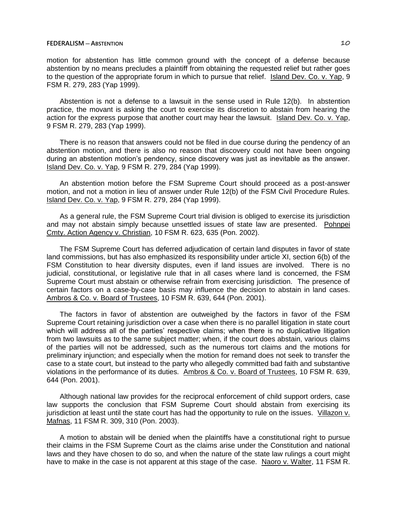motion for abstention has little common ground with the concept of a defense because abstention by no means precludes a plaintiff from obtaining the requested relief but rather goes to the question of the appropriate forum in which to pursue that relief. Island Dev. Co. v. Yap, 9 FSM R. 279, 283 (Yap 1999).

Abstention is not a defense to a lawsuit in the sense used in Rule 12(b). In abstention practice, the movant is asking the court to exercise its discretion to abstain from hearing the action for the express purpose that another court may hear the lawsuit. Island Dev. Co. v. Yap, 9 FSM R. 279, 283 (Yap 1999).

There is no reason that answers could not be filed in due course during the pendency of an abstention motion, and there is also no reason that discovery could not have been ongoing during an abstention motion's pendency, since discovery was just as inevitable as the answer. Island Dev. Co. v. Yap, 9 FSM R. 279, 284 (Yap 1999).

An abstention motion before the FSM Supreme Court should proceed as a post-answer motion, and not a motion in lieu of answer under Rule 12(b) of the FSM Civil Procedure Rules. Island Dev. Co. v. Yap, 9 FSM R. 279, 284 (Yap 1999).

As a general rule, the FSM Supreme Court trial division is obliged to exercise its jurisdiction and may not abstain simply because unsettled issues of state law are presented. Pohnpei Cmty. Action Agency v. Christian, 10 FSM R. 623, 635 (Pon. 2002).

The FSM Supreme Court has deferred adjudication of certain land disputes in favor of state land commissions, but has also emphasized its responsibility under article XI, section 6(b) of the FSM Constitution to hear diversity disputes, even if land issues are involved. There is no judicial, constitutional, or legislative rule that in all cases where land is concerned, the FSM Supreme Court must abstain or otherwise refrain from exercising jurisdiction. The presence of certain factors on a case-by-case basis may influence the decision to abstain in land cases. Ambros & Co. v. Board of Trustees, 10 FSM R. 639, 644 (Pon. 2001).

The factors in favor of abstention are outweighed by the factors in favor of the FSM Supreme Court retaining jurisdiction over a case when there is no parallel litigation in state court which will address all of the parties' respective claims; when there is no duplicative litigation from two lawsuits as to the same subject matter; when, if the court does abstain, various claims of the parties will not be addressed, such as the numerous tort claims and the motions for preliminary injunction; and especially when the motion for remand does not seek to transfer the case to a state court, but instead to the party who allegedly committed bad faith and substantive violations in the performance of its duties. Ambros & Co. v. Board of Trustees, 10 FSM R. 639, 644 (Pon. 2001).

Although national law provides for the reciprocal enforcement of child support orders, case law supports the conclusion that FSM Supreme Court should abstain from exercising its jurisdiction at least until the state court has had the opportunity to rule on the issues. Villazon v. Mafnas, 11 FSM R. 309, 310 (Pon. 2003).

A motion to abstain will be denied when the plaintiffs have a constitutional right to pursue their claims in the FSM Supreme Court as the claims arise under the Constitution and national laws and they have chosen to do so, and when the nature of the state law rulings a court might have to make in the case is not apparent at this stage of the case. Naoro v. Walter, 11 FSM R.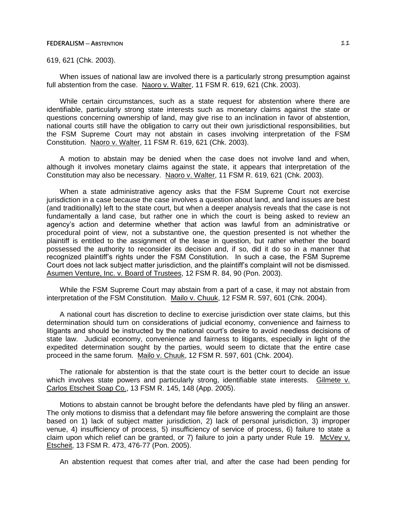# 619, 621 (Chk. 2003).

When issues of national law are involved there is a particularly strong presumption against full abstention from the case. Naoro v. Walter, 11 FSM R. 619, 621 (Chk. 2003).

While certain circumstances, such as a state request for abstention where there are identifiable, particularly strong state interests such as monetary claims against the state or questions concerning ownership of land, may give rise to an inclination in favor of abstention, national courts still have the obligation to carry out their own jurisdictional responsibilities, but the FSM Supreme Court may not abstain in cases involving interpretation of the FSM Constitution. Naoro v. Walter, 11 FSM R. 619, 621 (Chk. 2003).

A motion to abstain may be denied when the case does not involve land and when, although it involves monetary claims against the state, it appears that interpretation of the Constitution may also be necessary. Naoro v. Walter, 11 FSM R. 619, 621 (Chk. 2003).

When a state administrative agency asks that the FSM Supreme Court not exercise jurisdiction in a case because the case involves a question about land, and land issues are best (and traditionally) left to the state court, but when a deeper analysis reveals that the case is not fundamentally a land case, but rather one in which the court is being asked to review an agency's action and determine whether that action was lawful from an administrative or procedural point of view, not a substantive one, the question presented is not whether the plaintiff is entitled to the assignment of the lease in question, but rather whether the board possessed the authority to reconsider its decision and, if so, did it do so in a manner that recognized plaintiff's rights under the FSM Constitution. In such a case, the FSM Supreme Court does not lack subject matter jurisdiction, and the plaintiff's complaint will not be dismissed. Asumen Venture, Inc. v. Board of Trustees, 12 FSM R. 84, 90 (Pon. 2003).

While the FSM Supreme Court may abstain from a part of a case, it may not abstain from interpretation of the FSM Constitution. Mailo v. Chuuk, 12 FSM R. 597, 601 (Chk. 2004).

A national court has discretion to decline to exercise jurisdiction over state claims, but this determination should turn on considerations of judicial economy, convenience and fairness to litigants and should be instructed by the national court's desire to avoid needless decisions of state law. Judicial economy, convenience and fairness to litigants, especially in light of the expedited determination sought by the parties, would seem to dictate that the entire case proceed in the same forum. Mailo v. Chuuk, 12 FSM R. 597, 601 (Chk. 2004).

The rationale for abstention is that the state court is the better court to decide an issue which involves state powers and particularly strong, identifiable state interests. Gilmete v. Carlos Etscheit Soap Co., 13 FSM R. 145, 148 (App. 2005).

Motions to abstain cannot be brought before the defendants have pled by filing an answer. The only motions to dismiss that a defendant may file before answering the complaint are those based on 1) lack of subject matter jurisdiction, 2) lack of personal jurisdiction, 3) improper venue, 4) insufficiency of process, 5) insufficiency of service of process, 6) failure to state a claim upon which relief can be granted, or 7) failure to join a party under Rule 19. McVey v. Etscheit, 13 FSM R. 473, 476-77 (Pon. 2005).

An abstention request that comes after trial, and after the case had been pending for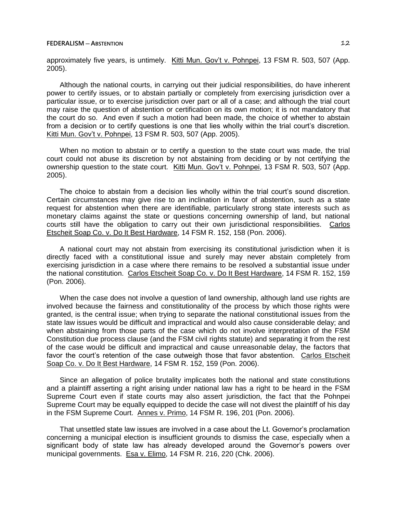approximately five years, is untimely. Kitti Mun. Gov't v. Pohnpei, 13 FSM R. 503, 507 (App. 2005).

Although the national courts, in carrying out their judicial responsibilities, do have inherent power to certify issues, or to abstain partially or completely from exercising jurisdiction over a particular issue, or to exercise jurisdiction over part or all of a case; and although the trial court may raise the question of abstention or certification on its own motion; it is not mandatory that the court do so. And even if such a motion had been made, the choice of whether to abstain from a decision or to certify questions is one that lies wholly within the trial court's discretion. Kitti Mun. Gov't v. Pohnpei, 13 FSM R. 503, 507 (App. 2005).

When no motion to abstain or to certify a question to the state court was made, the trial court could not abuse its discretion by not abstaining from deciding or by not certifying the ownership question to the state court. Kitti Mun. Gov't v. Pohnpei, 13 FSM R. 503, 507 (App. 2005).

The choice to abstain from a decision lies wholly within the trial court's sound discretion. Certain circumstances may give rise to an inclination in favor of abstention, such as a state request for abstention when there are identifiable, particularly strong state interests such as monetary claims against the state or questions concerning ownership of land, but national courts still have the obligation to carry out their own jurisdictional responsibilities. Carlos Etscheit Soap Co. v. Do It Best Hardware, 14 FSM R. 152, 158 (Pon. 2006).

A national court may not abstain from exercising its constitutional jurisdiction when it is directly faced with a constitutional issue and surely may never abstain completely from exercising jurisdiction in a case where there remains to be resolved a substantial issue under the national constitution. Carlos Etscheit Soap Co. v. Do It Best Hardware, 14 FSM R. 152, 159 (Pon. 2006).

When the case does not involve a question of land ownership, although land use rights are involved because the fairness and constitutionality of the process by which those rights were granted, is the central issue; when trying to separate the national constitutional issues from the state law issues would be difficult and impractical and would also cause considerable delay; and when abstaining from those parts of the case which do not involve interpretation of the FSM Constitution due process clause (and the FSM civil rights statute) and separating it from the rest of the case would be difficult and impractical and cause unreasonable delay, the factors that favor the court's retention of the case outweigh those that favor abstention. Carlos Etscheit Soap Co. v. Do It Best Hardware, 14 FSM R. 152, 159 (Pon. 2006).

Since an allegation of police brutality implicates both the national and state constitutions and a plaintiff asserting a right arising under national law has a right to be heard in the FSM Supreme Court even if state courts may also assert jurisdiction, the fact that the Pohnpei Supreme Court may be equally equipped to decide the case will not divest the plaintiff of his day in the FSM Supreme Court. Annes v. Primo, 14 FSM R. 196, 201 (Pon. 2006).

That unsettled state law issues are involved in a case about the Lt. Governor's proclamation concerning a municipal election is insufficient grounds to dismiss the case, especially when a significant body of state law has already developed around the Governor's powers over municipal governments. Esa v. Elimo, 14 FSM R. 216, 220 (Chk. 2006).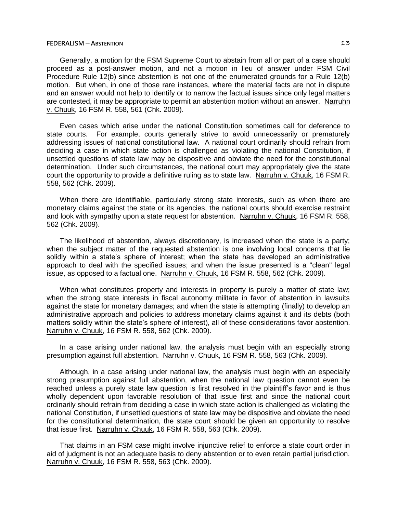Generally, a motion for the FSM Supreme Court to abstain from all or part of a case should proceed as a post-answer motion, and not a motion in lieu of answer under FSM Civil Procedure Rule 12(b) since abstention is not one of the enumerated grounds for a Rule 12(b) motion. But when, in one of those rare instances, where the material facts are not in dispute and an answer would not help to identify or to narrow the factual issues since only legal matters are contested, it may be appropriate to permit an abstention motion without an answer. Narruhn v. Chuuk, 16 FSM R. 558, 561 (Chk. 2009).

Even cases which arise under the national Constitution sometimes call for deference to state courts. For example, courts generally strive to avoid unnecessarily or prematurely addressing issues of national constitutional law. A national court ordinarily should refrain from deciding a case in which state action is challenged as violating the national Constitution, if unsettled questions of state law may be dispositive and obviate the need for the constitutional determination. Under such circumstances, the national court may appropriately give the state court the opportunity to provide a definitive ruling as to state law. Narruhn v. Chuuk, 16 FSM R. 558, 562 (Chk. 2009).

When there are identifiable, particularly strong state interests, such as when there are monetary claims against the state or its agencies, the national courts should exercise restraint and look with sympathy upon a state request for abstention. Narruhn v. Chuuk, 16 FSM R. 558, 562 (Chk. 2009).

The likelihood of abstention, always discretionary, is increased when the state is a party; when the subject matter of the requested abstention is one involving local concerns that lie solidly within a state's sphere of interest; when the state has developed an administrative approach to deal with the specified issues; and when the issue presented is a "clean" legal issue, as opposed to a factual one. Narruhn v. Chuuk, 16 FSM R. 558, 562 (Chk. 2009).

When what constitutes property and interests in property is purely a matter of state law; when the strong state interests in fiscal autonomy militate in favor of abstention in lawsuits against the state for monetary damages; and when the state is attempting (finally) to develop an administrative approach and policies to address monetary claims against it and its debts (both matters solidly within the state's sphere of interest), all of these considerations favor abstention. Narruhn v. Chuuk, 16 FSM R. 558, 562 (Chk. 2009).

In a case arising under national law, the analysis must begin with an especially strong presumption against full abstention. Narruhn v. Chuuk, 16 FSM R. 558, 563 (Chk. 2009).

Although, in a case arising under national law, the analysis must begin with an especially strong presumption against full abstention, when the national law question cannot even be reached unless a purely state law question is first resolved in the plaintiff's favor and is thus wholly dependent upon favorable resolution of that issue first and since the national court ordinarily should refrain from deciding a case in which state action is challenged as violating the national Constitution, if unsettled questions of state law may be dispositive and obviate the need for the constitutional determination, the state court should be given an opportunity to resolve that issue first. Narruhn v. Chuuk, 16 FSM R. 558, 563 (Chk. 2009).

That claims in an FSM case might involve injunctive relief to enforce a state court order in aid of judgment is not an adequate basis to deny abstention or to even retain partial jurisdiction. Narruhn v. Chuuk, 16 FSM R. 558, 563 (Chk. 2009).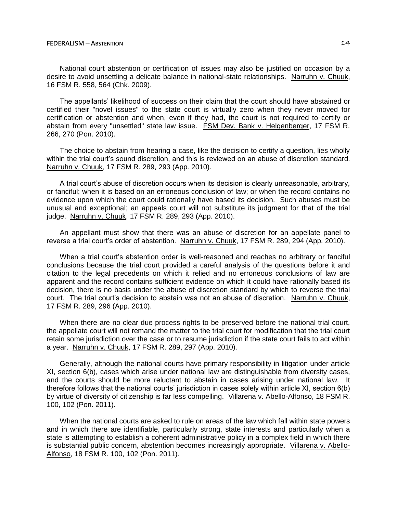National court abstention or certification of issues may also be justified on occasion by a desire to avoid unsettling a delicate balance in national-state relationships. Narruhn v. Chuuk, 16 FSM R. 558, 564 (Chk. 2009).

The appellants' likelihood of success on their claim that the court should have abstained or certified their "novel issues" to the state court is virtually zero when they never moved for certification or abstention and when, even if they had, the court is not required to certify or abstain from every "unsettled" state law issue. FSM Dev. Bank v. Helgenberger, 17 FSM R. 266, 270 (Pon. 2010).

The choice to abstain from hearing a case, like the decision to certify a question, lies wholly within the trial court's sound discretion, and this is reviewed on an abuse of discretion standard. Narruhn v. Chuuk, 17 FSM R. 289, 293 (App. 2010).

A trial court's abuse of discretion occurs when its decision is clearly unreasonable, arbitrary, or fanciful; when it is based on an erroneous conclusion of law; or when the record contains no evidence upon which the court could rationally have based its decision. Such abuses must be unusual and exceptional; an appeals court will not substitute its judgment for that of the trial judge. Narruhn v. Chuuk, 17 FSM R. 289, 293 (App. 2010).

An appellant must show that there was an abuse of discretion for an appellate panel to reverse a trial court's order of abstention. Narruhn v. Chuuk, 17 FSM R. 289, 294 (App. 2010).

When a trial court's abstention order is well-reasoned and reaches no arbitrary or fanciful conclusions because the trial court provided a careful analysis of the questions before it and citation to the legal precedents on which it relied and no erroneous conclusions of law are apparent and the record contains sufficient evidence on which it could have rationally based its decision, there is no basis under the abuse of discretion standard by which to reverse the trial court. The trial court's decision to abstain was not an abuse of discretion. Narruhn v. Chuuk, 17 FSM R. 289, 296 (App. 2010).

When there are no clear due process rights to be preserved before the national trial court, the appellate court will not remand the matter to the trial court for modification that the trial court retain some jurisdiction over the case or to resume jurisdiction if the state court fails to act within a year. Narruhn v. Chuuk, 17 FSM R. 289, 297 (App. 2010).

Generally, although the national courts have primary responsibility in litigation under article XI, section 6(b), cases which arise under national law are distinguishable from diversity cases, and the courts should be more reluctant to abstain in cases arising under national law. It therefore follows that the national courts' jurisdiction in cases solely within article XI, section 6(b) by virtue of diversity of citizenship is far less compelling. Villarena v. Abello-Alfonso, 18 FSM R. 100, 102 (Pon. 2011).

When the national courts are asked to rule on areas of the law which fall within state powers and in which there are identifiable, particularly strong, state interests and particularly when a state is attempting to establish a coherent administrative policy in a complex field in which there is substantial public concern, abstention becomes increasingly appropriate. Villarena v. Abello-Alfonso, 18 FSM R. 100, 102 (Pon. 2011).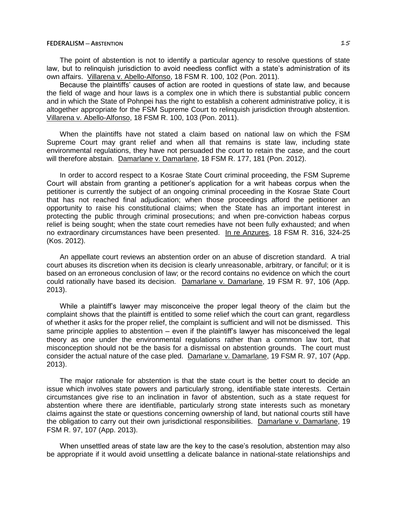The point of abstention is not to identify a particular agency to resolve questions of state law, but to relinquish jurisdiction to avoid needless conflict with a state's administration of its own affairs. Villarena v. Abello-Alfonso, 18 FSM R. 100, 102 (Pon. 2011).

Because the plaintiffs' causes of action are rooted in questions of state law, and because the field of wage and hour laws is a complex one in which there is substantial public concern and in which the State of Pohnpei has the right to establish a coherent administrative policy, it is altogether appropriate for the FSM Supreme Court to relinquish jurisdiction through abstention. Villarena v. Abello-Alfonso, 18 FSM R. 100, 103 (Pon. 2011).

When the plaintiffs have not stated a claim based on national law on which the FSM Supreme Court may grant relief and when all that remains is state law, including state environmental regulations, they have not persuaded the court to retain the case, and the court will therefore abstain. Damarlane v. Damarlane, 18 FSM R. 177, 181 (Pon. 2012).

In order to accord respect to a Kosrae State Court criminal proceeding, the FSM Supreme Court will abstain from granting a petitioner's application for a writ habeas corpus when the petitioner is currently the subject of an ongoing criminal proceeding in the Kosrae State Court that has not reached final adjudication; when those proceedings afford the petitioner an opportunity to raise his constitutional claims; when the State has an important interest in protecting the public through criminal prosecutions; and when pre-conviction habeas corpus relief is being sought; when the state court remedies have not been fully exhausted; and when no extraordinary circumstances have been presented. In re Anzures, 18 FSM R. 316, 324-25 (Kos. 2012).

An appellate court reviews an abstention order on an abuse of discretion standard. A trial court abuses its discretion when its decision is clearly unreasonable, arbitrary, or fanciful; or it is based on an erroneous conclusion of law; or the record contains no evidence on which the court could rationally have based its decision. Damarlane v. Damarlane, 19 FSM R. 97, 106 (App. 2013).

While a plaintiff's lawyer may misconceive the proper legal theory of the claim but the complaint shows that the plaintiff is entitled to some relief which the court can grant, regardless of whether it asks for the proper relief, the complaint is sufficient and will not be dismissed. This same principle applies to abstention – even if the plaintiff's lawyer has misconceived the legal theory as one under the environmental regulations rather than a common law tort, that misconception should not be the basis for a dismissal on abstention grounds. The court must consider the actual nature of the case pled. Damarlane v. Damarlane, 19 FSM R. 97, 107 (App. 2013).

The major rationale for abstention is that the state court is the better court to decide an issue which involves state powers and particularly strong, identifiable state interests. Certain circumstances give rise to an inclination in favor of abstention, such as a state request for abstention where there are identifiable, particularly strong state interests such as monetary claims against the state or questions concerning ownership of land, but national courts still have the obligation to carry out their own jurisdictional responsibilities. Damarlane v. Damarlane, 19 FSM R. 97, 107 (App. 2013).

When unsettled areas of state law are the key to the case's resolution, abstention may also be appropriate if it would avoid unsettling a delicate balance in national-state relationships and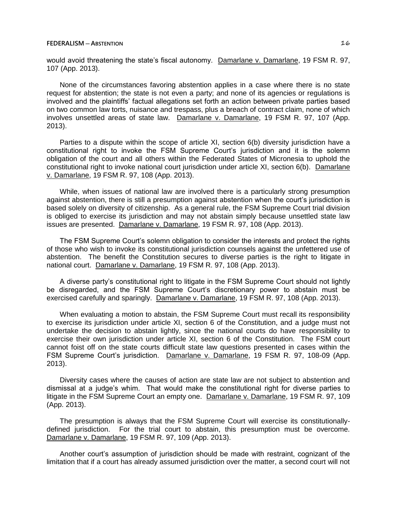would avoid threatening the state's fiscal autonomy. Damarlane v. Damarlane, 19 FSM R. 97, 107 (App. 2013).

None of the circumstances favoring abstention applies in a case where there is no state request for abstention; the state is not even a party; and none of its agencies or regulations is involved and the plaintiffs' factual allegations set forth an action between private parties based on two common law torts, nuisance and trespass, plus a breach of contract claim, none of which involves unsettled areas of state law. Damarlane v. Damarlane, 19 FSM R. 97, 107 (App. 2013).

Parties to a dispute within the scope of article XI, section 6(b) diversity jurisdiction have a constitutional right to invoke the FSM Supreme Court's jurisdiction and it is the solemn obligation of the court and all others within the Federated States of Micronesia to uphold the constitutional right to invoke national court jurisdiction under article XI, section 6(b). Damarlane v. Damarlane, 19 FSM R. 97, 108 (App. 2013).

While, when issues of national law are involved there is a particularly strong presumption against abstention, there is still a presumption against abstention when the court's jurisdiction is based solely on diversity of citizenship. As a general rule, the FSM Supreme Court trial division is obliged to exercise its jurisdiction and may not abstain simply because unsettled state law issues are presented. Damarlane v. Damarlane, 19 FSM R. 97, 108 (App. 2013).

The FSM Supreme Court's solemn obligation to consider the interests and protect the rights of those who wish to invoke its constitutional jurisdiction counsels against the unfettered use of abstention. The benefit the Constitution secures to diverse parties is the right to litigate in national court. Damarlane v. Damarlane, 19 FSM R. 97, 108 (App. 2013).

A diverse party's constitutional right to litigate in the FSM Supreme Court should not lightly be disregarded, and the FSM Supreme Court's discretionary power to abstain must be exercised carefully and sparingly. Damarlane v. Damarlane, 19 FSM R. 97, 108 (App. 2013).

When evaluating a motion to abstain, the FSM Supreme Court must recall its responsibility to exercise its jurisdiction under article XI, section 6 of the Constitution, and a judge must not undertake the decision to abstain lightly, since the national courts do have responsibility to exercise their own jurisdiction under article XI, section 6 of the Constitution. The FSM court cannot foist off on the state courts difficult state law questions presented in cases within the FSM Supreme Court's jurisdiction. Damarlane v. Damarlane, 19 FSM R. 97, 108-09 (App. 2013).

Diversity cases where the causes of action are state law are not subject to abstention and dismissal at a judge's whim. That would make the constitutional right for diverse parties to litigate in the FSM Supreme Court an empty one. Damarlane v. Damarlane, 19 FSM R. 97, 109 (App. 2013).

The presumption is always that the FSM Supreme Court will exercise its constitutionallydefined jurisdiction. For the trial court to abstain, this presumption must be overcome. Damarlane v. Damarlane, 19 FSM R. 97, 109 (App. 2013).

Another court's assumption of jurisdiction should be made with restraint, cognizant of the limitation that if a court has already assumed jurisdiction over the matter, a second court will not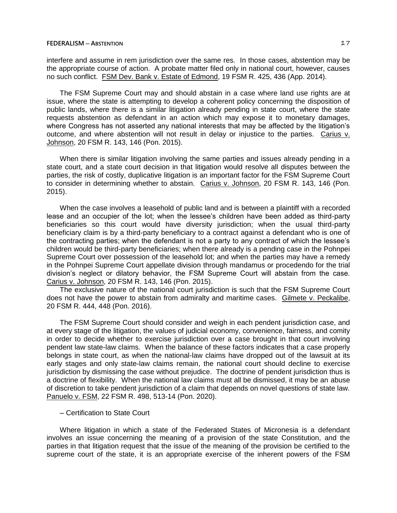interfere and assume in rem jurisdiction over the same res. In those cases, abstention may be the appropriate course of action. A probate matter filed only in national court, however, causes no such conflict. FSM Dev. Bank v. Estate of Edmond, 19 FSM R. 425, 436 (App. 2014).

The FSM Supreme Court may and should abstain in a case where land use rights are at issue, where the state is attempting to develop a coherent policy concerning the disposition of public lands, where there is a similar litigation already pending in state court, where the state requests abstention as defendant in an action which may expose it to monetary damages, where Congress has not asserted any national interests that may be affected by the litigation's outcome, and where abstention will not result in delay or injustice to the parties. Carius v. Johnson, 20 FSM R. 143, 146 (Pon. 2015).

When there is similar litigation involving the same parties and issues already pending in a state court, and a state court decision in that litigation would resolve all disputes between the parties, the risk of costly, duplicative litigation is an important factor for the FSM Supreme Court to consider in determining whether to abstain. Carius v. Johnson, 20 FSM R. 143, 146 (Pon. 2015).

When the case involves a leasehold of public land and is between a plaintiff with a recorded lease and an occupier of the lot; when the lessee's children have been added as third-party beneficiaries so this court would have diversity jurisdiction; when the usual third-party beneficiary claim is by a third-party beneficiary to a contract against a defendant who is one of the contracting parties; when the defendant is not a party to any contract of which the lessee's children would be third-party beneficiaries; when there already is a pending case in the Pohnpei Supreme Court over possession of the leasehold lot; and when the parties may have a remedy in the Pohnpei Supreme Court appellate division through mandamus or procedendo for the trial division's neglect or dilatory behavior, the FSM Supreme Court will abstain from the case. Carius v. Johnson, 20 FSM R. 143, 146 (Pon. 2015).

The exclusive nature of the national court jurisdiction is such that the FSM Supreme Court does not have the power to abstain from admiralty and maritime cases. Gilmete v. Peckalibe, 20 FSM R. 444, 448 (Pon. 2016).

The FSM Supreme Court should consider and weigh in each pendent jurisdiction case, and at every stage of the litigation, the values of judicial economy, convenience, fairness, and comity in order to decide whether to exercise jurisdiction over a case brought in that court involving pendent law state-law claims. When the balance of these factors indicates that a case properly belongs in state court, as when the national-law claims have dropped out of the lawsuit at its early stages and only state-law claims remain, the national court should decline to exercise jurisdiction by dismissing the case without prejudice. The doctrine of pendent jurisdiction thus is a doctrine of flexibility. When the national law claims must all be dismissed, it may be an abuse of discretion to take pendent jurisdiction of a claim that depends on novel questions of state law. Panuelo v. FSM, 22 FSM R. 498, 513-14 (Pon. 2020).

## ─ Certification to State Court

Where litigation in which a state of the Federated States of Micronesia is a defendant involves an issue concerning the meaning of a provision of the state Constitution, and the parties in that litigation request that the issue of the meaning of the provision be certified to the supreme court of the state, it is an appropriate exercise of the inherent powers of the FSM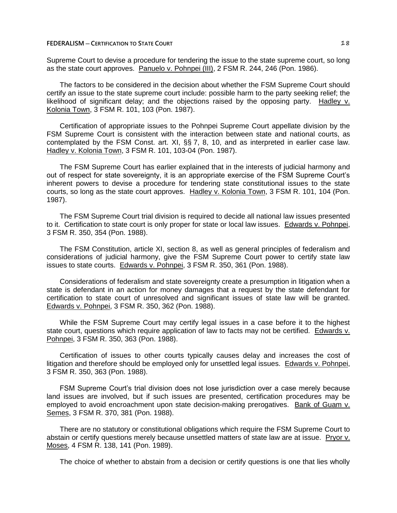Supreme Court to devise a procedure for tendering the issue to the state supreme court, so long as the state court approves. Panuelo v. Pohnpei (III), 2 FSM R. 244, 246 (Pon. 1986).

The factors to be considered in the decision about whether the FSM Supreme Court should certify an issue to the state supreme court include: possible harm to the party seeking relief; the likelihood of significant delay; and the objections raised by the opposing party. Hadley v. Kolonia Town, 3 FSM R. 101, 103 (Pon. 1987).

Certification of appropriate issues to the Pohnpei Supreme Court appellate division by the FSM Supreme Court is consistent with the interaction between state and national courts, as contemplated by the FSM Const. art. XI, §§ 7, 8, 10, and as interpreted in earlier case law. Hadley v. Kolonia Town, 3 FSM R. 101, 103-04 (Pon. 1987).

The FSM Supreme Court has earlier explained that in the interests of judicial harmony and out of respect for state sovereignty, it is an appropriate exercise of the FSM Supreme Court's inherent powers to devise a procedure for tendering state constitutional issues to the state courts, so long as the state court approves. Hadley v. Kolonia Town, 3 FSM R. 101, 104 (Pon. 1987).

The FSM Supreme Court trial division is required to decide all national law issues presented to it. Certification to state court is only proper for state or local law issues. Edwards v. Pohnpei, 3 FSM R. 350, 354 (Pon. 1988).

The FSM Constitution, article XI, section 8, as well as general principles of federalism and considerations of judicial harmony, give the FSM Supreme Court power to certify state law issues to state courts. Edwards v. Pohnpei, 3 FSM R. 350, 361 (Pon. 1988).

Considerations of federalism and state sovereignty create a presumption in litigation when a state is defendant in an action for money damages that a request by the state defendant for certification to state court of unresolved and significant issues of state law will be granted. Edwards v. Pohnpei, 3 FSM R. 350, 362 (Pon. 1988).

While the FSM Supreme Court may certify legal issues in a case before it to the highest state court, questions which require application of law to facts may not be certified. Edwards v. Pohnpei, 3 FSM R. 350, 363 (Pon. 1988).

Certification of issues to other courts typically causes delay and increases the cost of litigation and therefore should be employed only for unsettled legal issues. Edwards v. Pohnpei, 3 FSM R. 350, 363 (Pon. 1988).

FSM Supreme Court's trial division does not lose jurisdiction over a case merely because land issues are involved, but if such issues are presented, certification procedures may be employed to avoid encroachment upon state decision-making prerogatives. Bank of Guam v. Semes, 3 FSM R. 370, 381 (Pon. 1988).

There are no statutory or constitutional obligations which require the FSM Supreme Court to abstain or certify questions merely because unsettled matters of state law are at issue. Pryor v. Moses, 4 FSM R. 138, 141 (Pon. 1989).

The choice of whether to abstain from a decision or certify questions is one that lies wholly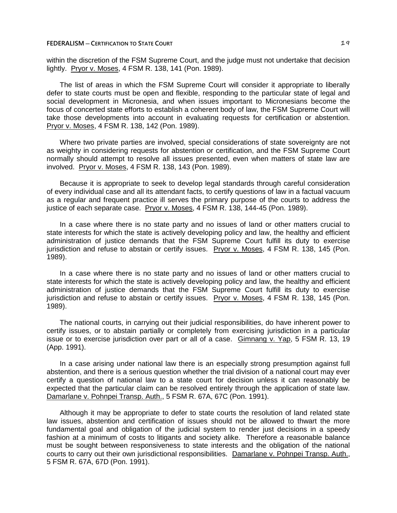### **FEDERALISM — CERTIFICATION TO STATE COURT 19**

within the discretion of the FSM Supreme Court, and the judge must not undertake that decision lightly. Pryor v. Moses, 4 FSM R. 138, 141 (Pon. 1989).

The list of areas in which the FSM Supreme Court will consider it appropriate to liberally defer to state courts must be open and flexible, responding to the particular state of legal and social development in Micronesia, and when issues important to Micronesians become the focus of concerted state efforts to establish a coherent body of law, the FSM Supreme Court will take those developments into account in evaluating requests for certification or abstention. Pryor v. Moses, 4 FSM R. 138, 142 (Pon. 1989).

Where two private parties are involved, special considerations of state sovereignty are not as weighty in considering requests for abstention or certification, and the FSM Supreme Court normally should attempt to resolve all issues presented, even when matters of state law are involved. Pryor v. Moses, 4 FSM R. 138, 143 (Pon. 1989).

Because it is appropriate to seek to develop legal standards through careful consideration of every individual case and all its attendant facts, to certify questions of law in a factual vacuum as a regular and frequent practice ill serves the primary purpose of the courts to address the justice of each separate case. Pryor v. Moses, 4 FSM R. 138, 144-45 (Pon. 1989).

In a case where there is no state party and no issues of land or other matters crucial to state interests for which the state is actively developing policy and law, the healthy and efficient administration of justice demands that the FSM Supreme Court fulfill its duty to exercise jurisdiction and refuse to abstain or certify issues. Pryor v. Moses, 4 FSM R. 138, 145 (Pon. 1989).

In a case where there is no state party and no issues of land or other matters crucial to state interests for which the state is actively developing policy and law, the healthy and efficient administration of justice demands that the FSM Supreme Court fulfill its duty to exercise jurisdiction and refuse to abstain or certify issues. Pryor v. Moses, 4 FSM R. 138, 145 (Pon. 1989).

The national courts, in carrying out their judicial responsibilities, do have inherent power to certify issues, or to abstain partially or completely from exercising jurisdiction in a particular issue or to exercise jurisdiction over part or all of a case. Gimnang v. Yap, 5 FSM R. 13, 19 (App. 1991).

In a case arising under national law there is an especially strong presumption against full abstention, and there is a serious question whether the trial division of a national court may ever certify a question of national law to a state court for decision unless it can reasonably be expected that the particular claim can be resolved entirely through the application of state law. Damarlane v. Pohnpei Transp. Auth., 5 FSM R. 67A, 67C (Pon. 1991).

Although it may be appropriate to defer to state courts the resolution of land related state law issues, abstention and certification of issues should not be allowed to thwart the more fundamental goal and obligation of the judicial system to render just decisions in a speedy fashion at a minimum of costs to litigants and society alike. Therefore a reasonable balance must be sought between responsiveness to state interests and the obligation of the national courts to carry out their own jurisdictional responsibilities. Damarlane v. Pohnpei Transp. Auth., 5 FSM R. 67A, 67D (Pon. 1991).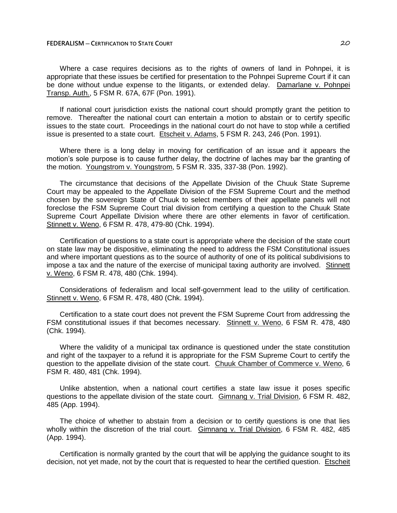### **FEDERALISM ─ CERTIFICATION TO STATE COURT** 20

Where a case requires decisions as to the rights of owners of land in Pohnpei, it is appropriate that these issues be certified for presentation to the Pohnpei Supreme Court if it can be done without undue expense to the litigants, or extended delay. Damarlane v. Pohnpei Transp. Auth., 5 FSM R. 67A, 67F (Pon. 1991).

If national court jurisdiction exists the national court should promptly grant the petition to remove. Thereafter the national court can entertain a motion to abstain or to certify specific issues to the state court. Proceedings in the national court do not have to stop while a certified issue is presented to a state court. Etscheit v. Adams, 5 FSM R. 243, 246 (Pon. 1991).

Where there is a long delay in moving for certification of an issue and it appears the motion's sole purpose is to cause further delay, the doctrine of laches may bar the granting of the motion. Youngstrom v. Youngstrom, 5 FSM R. 335, 337-38 (Pon. 1992).

The circumstance that decisions of the Appellate Division of the Chuuk State Supreme Court may be appealed to the Appellate Division of the FSM Supreme Court and the method chosen by the sovereign State of Chuuk to select members of their appellate panels will not foreclose the FSM Supreme Court trial division from certifying a question to the Chuuk State Supreme Court Appellate Division where there are other elements in favor of certification. Stinnett v. Weno, 6 FSM R. 478, 479-80 (Chk. 1994).

Certification of questions to a state court is appropriate where the decision of the state court on state law may be dispositive, eliminating the need to address the FSM Constitutional issues and where important questions as to the source of authority of one of its political subdivisions to impose a tax and the nature of the exercise of municipal taxing authority are involved. Stinnett v. Weno, 6 FSM R. 478, 480 (Chk. 1994).

Considerations of federalism and local self-government lead to the utility of certification. Stinnett v. Weno, 6 FSM R. 478, 480 (Chk. 1994).

Certification to a state court does not prevent the FSM Supreme Court from addressing the FSM constitutional issues if that becomes necessary. Stinnett v. Weno, 6 FSM R. 478, 480 (Chk. 1994).

Where the validity of a municipal tax ordinance is questioned under the state constitution and right of the taxpayer to a refund it is appropriate for the FSM Supreme Court to certify the question to the appellate division of the state court. Chuuk Chamber of Commerce v. Weno, 6 FSM R. 480, 481 (Chk. 1994).

Unlike abstention, when a national court certifies a state law issue it poses specific questions to the appellate division of the state court. Gimnang v. Trial Division, 6 FSM R. 482, 485 (App. 1994).

The choice of whether to abstain from a decision or to certify questions is one that lies wholly within the discretion of the trial court. Gimnang v. Trial Division, 6 FSM R. 482, 485 (App. 1994).

Certification is normally granted by the court that will be applying the guidance sought to its decision, not yet made, not by the court that is requested to hear the certified question. Etscheit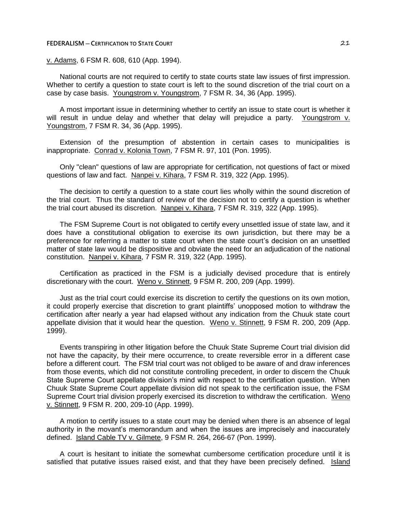#### **FEDERALISM ─ CERTIFICATION TO STATE COURT** 21

# v. Adams, 6 FSM R. 608, 610 (App. 1994).

National courts are not required to certify to state courts state law issues of first impression. Whether to certify a question to state court is left to the sound discretion of the trial court on a case by case basis. Youngstrom v. Youngstrom, 7 FSM R. 34, 36 (App. 1995).

A most important issue in determining whether to certify an issue to state court is whether it will result in undue delay and whether that delay will prejudice a party. Youngstrom v. Youngstrom, 7 FSM R. 34, 36 (App. 1995).

Extension of the presumption of abstention in certain cases to municipalities is inappropriate. Conrad v. Kolonia Town, 7 FSM R. 97, 101 (Pon. 1995).

Only "clean" questions of law are appropriate for certification, not questions of fact or mixed questions of law and fact. Nanpei v. Kihara, 7 FSM R. 319, 322 (App. 1995).

The decision to certify a question to a state court lies wholly within the sound discretion of the trial court. Thus the standard of review of the decision not to certify a question is whether the trial court abused its discretion. Nanpei v. Kihara, 7 FSM R. 319, 322 (App. 1995).

The FSM Supreme Court is not obligated to certify every unsettled issue of state law, and it does have a constitutional obligation to exercise its own jurisdiction, but there may be a preference for referring a matter to state court when the state court's decision on an unsettled matter of state law would be dispositive and obviate the need for an adjudication of the national constitution. Nanpei v. Kihara, 7 FSM R. 319, 322 (App. 1995).

Certification as practiced in the FSM is a judicially devised procedure that is entirely discretionary with the court. Weno v. Stinnett, 9 FSM R. 200, 209 (App. 1999).

Just as the trial court could exercise its discretion to certify the questions on its own motion, it could properly exercise that discretion to grant plaintiffs' unopposed motion to withdraw the certification after nearly a year had elapsed without any indication from the Chuuk state court appellate division that it would hear the question. Weno v. Stinnett, 9 FSM R. 200, 209 (App. 1999).

Events transpiring in other litigation before the Chuuk State Supreme Court trial division did not have the capacity, by their mere occurrence, to create reversible error in a different case before a different court. The FSM trial court was not obliged to be aware of and draw inferences from those events, which did not constitute controlling precedent, in order to discern the Chuuk State Supreme Court appellate division's mind with respect to the certification question. When Chuuk State Supreme Court appellate division did not speak to the certification issue, the FSM Supreme Court trial division properly exercised its discretion to withdraw the certification. Weno v. Stinnett, 9 FSM R. 200, 209-10 (App. 1999).

A motion to certify issues to a state court may be denied when there is an absence of legal authority in the movant's memorandum and when the issues are imprecisely and inaccurately defined. Island Cable TV v. Gilmete, 9 FSM R. 264, 266-67 (Pon. 1999).

A court is hesitant to initiate the somewhat cumbersome certification procedure until it is satisfied that putative issues raised exist, and that they have been precisely defined. Island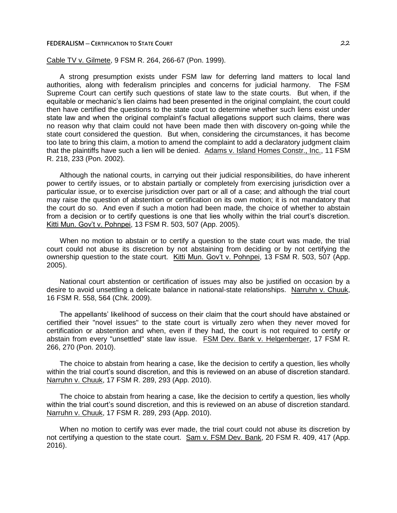### **FEDERALISM ─ CERTIFICATION TO STATE COURT** 22

Cable TV v. Gilmete, 9 FSM R. 264, 266-67 (Pon. 1999).

A strong presumption exists under FSM law for deferring land matters to local land authorities, along with federalism principles and concerns for judicial harmony. The FSM Supreme Court can certify such questions of state law to the state courts. But when, if the equitable or mechanic's lien claims had been presented in the original complaint, the court could then have certified the questions to the state court to determine whether such liens exist under state law and when the original complaint's factual allegations support such claims, there was no reason why that claim could not have been made then with discovery on-going while the state court considered the question. But when, considering the circumstances, it has become too late to bring this claim, a motion to amend the complaint to add a declaratory judgment claim that the plaintiffs have such a lien will be denied. Adams v. Island Homes Constr., Inc., 11 FSM R. 218, 233 (Pon. 2002).

Although the national courts, in carrying out their judicial responsibilities, do have inherent power to certify issues, or to abstain partially or completely from exercising jurisdiction over a particular issue, or to exercise jurisdiction over part or all of a case; and although the trial court may raise the question of abstention or certification on its own motion; it is not mandatory that the court do so. And even if such a motion had been made, the choice of whether to abstain from a decision or to certify questions is one that lies wholly within the trial court's discretion. Kitti Mun. Gov't v. Pohnpei, 13 FSM R. 503, 507 (App. 2005).

When no motion to abstain or to certify a question to the state court was made, the trial court could not abuse its discretion by not abstaining from deciding or by not certifying the ownership question to the state court. Kitti Mun. Gov't v. Pohnpei, 13 FSM R. 503, 507 (App. 2005).

National court abstention or certification of issues may also be justified on occasion by a desire to avoid unsettling a delicate balance in national-state relationships. Narruhn v. Chuuk, 16 FSM R. 558, 564 (Chk. 2009).

The appellants' likelihood of success on their claim that the court should have abstained or certified their "novel issues" to the state court is virtually zero when they never moved for certification or abstention and when, even if they had, the court is not required to certify or abstain from every "unsettled" state law issue. FSM Dev. Bank v. Helgenberger, 17 FSM R. 266, 270 (Pon. 2010).

The choice to abstain from hearing a case, like the decision to certify a question, lies wholly within the trial court's sound discretion, and this is reviewed on an abuse of discretion standard. Narruhn v. Chuuk, 17 FSM R. 289, 293 (App. 2010).

The choice to abstain from hearing a case, like the decision to certify a question, lies wholly within the trial court's sound discretion, and this is reviewed on an abuse of discretion standard. Narruhn v. Chuuk, 17 FSM R. 289, 293 (App. 2010).

When no motion to certify was ever made, the trial court could not abuse its discretion by not certifying a question to the state court. Sam v. FSM Dev. Bank, 20 FSM R. 409, 417 (App. 2016).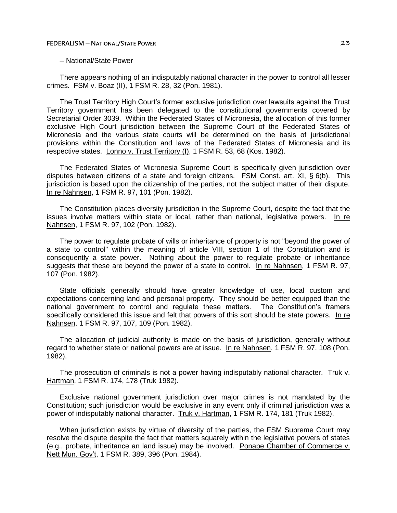### ─ National/State Power

There appears nothing of an indisputably national character in the power to control all lesser crimes. FSM v. Boaz (II), 1 FSM R. 28, 32 (Pon. 1981).

The Trust Territory High Court's former exclusive jurisdiction over lawsuits against the Trust Territory government has been delegated to the constitutional governments covered by Secretarial Order 3039. Within the Federated States of Micronesia, the allocation of this former exclusive High Court jurisdiction between the Supreme Court of the Federated States of Micronesia and the various state courts will be determined on the basis of jurisdictional provisions within the Constitution and laws of the Federated States of Micronesia and its respective states. Lonno v. Trust Territory (I), 1 FSM R. 53, 68 (Kos. 1982).

The Federated States of Micronesia Supreme Court is specifically given jurisdiction over disputes between citizens of a state and foreign citizens. FSM Const. art. XI, § 6(b). This jurisdiction is based upon the citizenship of the parties, not the subject matter of their dispute. In re Nahnsen, 1 FSM R. 97, 101 (Pon. 1982).

The Constitution places diversity jurisdiction in the Supreme Court, despite the fact that the issues involve matters within state or local, rather than national, legislative powers. In re Nahnsen, 1 FSM R. 97, 102 (Pon. 1982).

The power to regulate probate of wills or inheritance of property is not "beyond the power of a state to control" within the meaning of article VIII, section 1 of the Constitution and is consequently a state power. Nothing about the power to regulate probate or inheritance suggests that these are beyond the power of a state to control. In re Nahnsen, 1 FSM R. 97, 107 (Pon. 1982).

State officials generally should have greater knowledge of use, local custom and expectations concerning land and personal property. They should be better equipped than the national government to control and regulate these matters. The Constitution's framers specifically considered this issue and felt that powers of this sort should be state powers. In re Nahnsen, 1 FSM R. 97, 107, 109 (Pon. 1982).

The allocation of judicial authority is made on the basis of jurisdiction, generally without regard to whether state or national powers are at issue. In re Nahnsen, 1 FSM R. 97, 108 (Pon. 1982).

The prosecution of criminals is not a power having indisputably national character. Truk v. Hartman, 1 FSM R. 174, 178 (Truk 1982).

Exclusive national government jurisdiction over major crimes is not mandated by the Constitution; such jurisdiction would be exclusive in any event only if criminal jurisdiction was a power of indisputably national character. Truk v. Hartman, 1 FSM R. 174, 181 (Truk 1982).

When jurisdiction exists by virtue of diversity of the parties, the FSM Supreme Court may resolve the dispute despite the fact that matters squarely within the legislative powers of states (e.g., probate, inheritance an land issue) may be involved. Ponape Chamber of Commerce v. Nett Mun. Gov't, 1 FSM R. 389, 396 (Pon. 1984).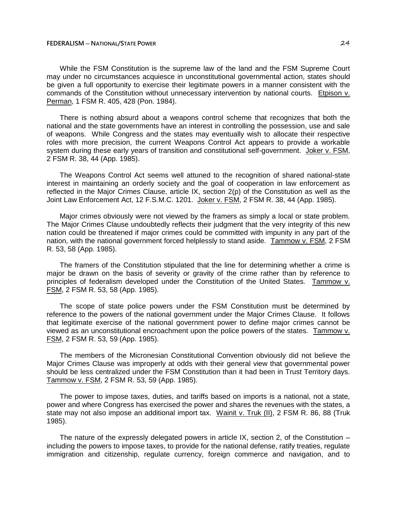While the FSM Constitution is the supreme law of the land and the FSM Supreme Court may under no circumstances acquiesce in unconstitutional governmental action, states should be given a full opportunity to exercise their legitimate powers in a manner consistent with the commands of the Constitution without unnecessary intervention by national courts. Etpison v. Perman, 1 FSM R. 405, 428 (Pon. 1984).

There is nothing absurd about a weapons control scheme that recognizes that both the national and the state governments have an interest in controlling the possession, use and sale of weapons. While Congress and the states may eventually wish to allocate their respective roles with more precision, the current Weapons Control Act appears to provide a workable system during these early years of transition and constitutional self-government. Joker v. FSM, 2 FSM R. 38, 44 (App. 1985).

The Weapons Control Act seems well attuned to the recognition of shared national-state interest in maintaining an orderly society and the goal of cooperation in law enforcement as reflected in the Major Crimes Clause, article IX, section 2(p) of the Constitution as well as the Joint Law Enforcement Act, 12 F.S.M.C. 1201. Joker v. FSM, 2 FSM R. 38, 44 (App. 1985).

Major crimes obviously were not viewed by the framers as simply a local or state problem. The Major Crimes Clause undoubtedly reflects their judgment that the very integrity of this new nation could be threatened if major crimes could be committed with impunity in any part of the nation, with the national government forced helplessly to stand aside. Tammow v. FSM, 2 FSM R. 53, 58 (App. 1985).

The framers of the Constitution stipulated that the line for determining whether a crime is major be drawn on the basis of severity or gravity of the crime rather than by reference to principles of federalism developed under the Constitution of the United States. Tammow v. FSM, 2 FSM R. 53, 58 (App. 1985).

The scope of state police powers under the FSM Constitution must be determined by reference to the powers of the national government under the Major Crimes Clause. It follows that legitimate exercise of the national government power to define major crimes cannot be viewed as an unconstitutional encroachment upon the police powers of the states. Tammow v. FSM, 2 FSM R. 53, 59 (App. 1985).

The members of the Micronesian Constitutional Convention obviously did not believe the Major Crimes Clause was improperly at odds with their general view that governmental power should be less centralized under the FSM Constitution than it had been in Trust Territory days. Tammow v. FSM, 2 FSM R. 53, 59 (App. 1985).

The power to impose taxes, duties, and tariffs based on imports is a national, not a state, power and where Congress has exercised the power and shares the revenues with the states, a state may not also impose an additional import tax. Wainit v. Truk (II), 2 FSM R. 86, 88 (Truk 1985).

The nature of the expressly delegated powers in article IX, section 2, of the Constitution  $$ including the powers to impose taxes, to provide for the national defense, ratify treaties, regulate immigration and citizenship, regulate currency, foreign commerce and navigation, and to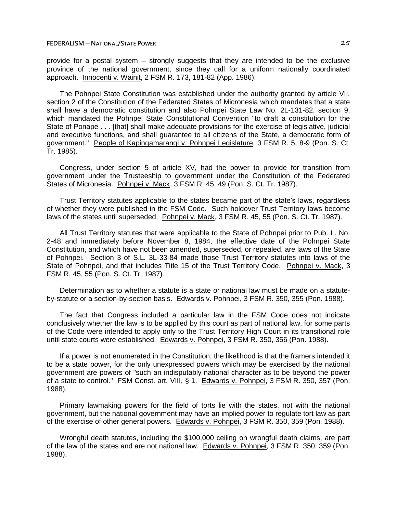provide for a postal system – strongly suggests that they are intended to be the exclusive province of the national government, since they call for a uniform nationally coordinated approach. Innocenti v. Wainit, 2 FSM R. 173, 181-82 (App. 1986).

The Pohnpei State Constitution was established under the authority granted by article VII, section 2 of the Constitution of the Federated States of Micronesia which mandates that a state shall have a democratic constitution and also Pohnpei State Law No. 2L-131-82, section 9, which mandated the Pohnpei State Constitutional Convention "to draft a constitution for the State of Ponape . . . [that] shall make adequate provisions for the exercise of legislative, judicial and executive functions, and shall guarantee to all citizens of the State, a democratic form of government." People of Kapingamarangi v. Pohnpei Legislature, 3 FSM R. 5, 8-9 (Pon. S. Ct. Tr. 1985).

Congress, under section 5 of article XV, had the power to provide for transition from government under the Trusteeship to government under the Constitution of the Federated States of Micronesia. Pohnpei v. Mack, 3 FSM R. 45, 49 (Pon. S. Ct. Tr. 1987).

Trust Territory statutes applicable to the states became part of the state's laws, regardless of whether they were published in the FSM Code. Such holdover Trust Territory laws become laws of the states until superseded. Pohnpei v. Mack, 3 FSM R. 45, 55 (Pon. S. Ct. Tr. 1987).

All Trust Territory statutes that were applicable to the State of Pohnpei prior to Pub. L. No. 2-48 and immediately before November 8, 1984, the effective date of the Pohnpei State Constitution, and which have not been amended, superseded, or repealed, are laws of the State of Pohnpei. Section 3 of S.L. 3L-33-84 made those Trust Territory statutes into laws of the State of Pohnpei, and that includes Title 15 of the Trust Territory Code. Pohnpei v. Mack, 3 FSM R. 45, 55 (Pon. S. Ct. Tr. 1987).

Determination as to whether a statute is a state or national law must be made on a statuteby-statute or a section-by-section basis. Edwards v. Pohnpei, 3 FSM R. 350, 355 (Pon. 1988).

The fact that Congress included a particular law in the FSM Code does not indicate conclusively whether the law is to be applied by this court as part of national law, for some parts of the Code were intended to apply only to the Trust Territory High Court in its transitional role until state courts were established. Edwards v. Pohnpei, 3 FSM R. 350, 356 (Pon. 1988).

If a power is not enumerated in the Constitution, the likelihood is that the framers intended it to be a state power, for the only unexpressed powers which may be exercised by the national government are powers of "such an indisputably national character as to be beyond the power of a state to control." FSM Const. art. VIII, § 1. Edwards v. Pohnpei, 3 FSM R. 350, 357 (Pon. 1988).

Primary lawmaking powers for the field of torts lie with the states, not with the national government, but the national government may have an implied power to regulate tort law as part of the exercise of other general powers. Edwards v. Pohnpei, 3 FSM R. 350, 359 (Pon. 1988).

Wrongful death statutes, including the \$100,000 ceiling on wrongful death claims, are part of the law of the states and are not national law. Edwards v. Pohnpei, 3 FSM R. 350, 359 (Pon. 1988).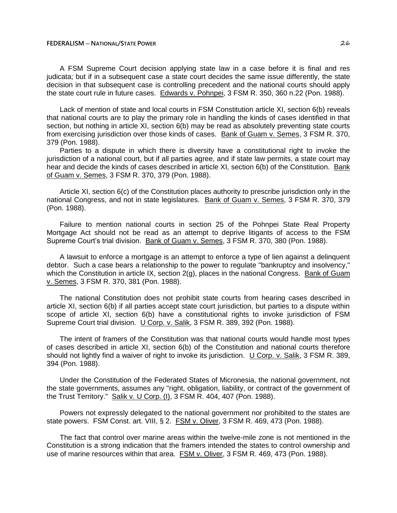A FSM Supreme Court decision applying state law in a case before it is final and res judicata; but if in a subsequent case a state court decides the same issue differently, the state decision in that subsequent case is controlling precedent and the national courts should apply the state court rule in future cases. Edwards v. Pohnpei, 3 FSM R. 350, 360 n.22 (Pon. 1988).

Lack of mention of state and local courts in FSM Constitution article XI, section 6(b) reveals that national courts are to play the primary role in handling the kinds of cases identified in that section, but nothing in article XI, section 6(b) may be read as absolutely preventing state courts from exercising jurisdiction over those kinds of cases. Bank of Guam v. Semes, 3 FSM R. 370, 379 (Pon. 1988).

Parties to a dispute in which there is diversity have a constitutional right to invoke the jurisdiction of a national court, but if all parties agree, and if state law permits, a state court may hear and decide the kinds of cases described in article XI, section 6(b) of the Constitution. Bank of Guam v. Semes, 3 FSM R. 370, 379 (Pon. 1988).

Article XI, section 6(c) of the Constitution places authority to prescribe jurisdiction only in the national Congress, and not in state legislatures. Bank of Guam v. Semes, 3 FSM R. 370, 379 (Pon. 1988).

Failure to mention national courts in section 25 of the Pohnpei State Real Property Mortgage Act should not be read as an attempt to deprive litigants of access to the FSM Supreme Court's trial division. Bank of Guam v. Semes, 3 FSM R. 370, 380 (Pon. 1988).

A lawsuit to enforce a mortgage is an attempt to enforce a type of lien against a delinquent debtor. Such a case bears a relationship to the power to regulate "bankruptcy and insolvency," which the Constitution in article IX, section 2(g), places in the national Congress. Bank of Guam v. Semes, 3 FSM R. 370, 381 (Pon. 1988).

The national Constitution does not prohibit state courts from hearing cases described in article XI, section 6(b) if all parties accept state court jurisdiction, but parties to a dispute within scope of article XI, section 6(b) have a constitutional rights to invoke jurisdiction of FSM Supreme Court trial division. U Corp. v. Salik, 3 FSM R. 389, 392 (Pon. 1988).

The intent of framers of the Constitution was that national courts would handle most types of cases described in article XI, section 6(b) of the Constitution and national courts therefore should not lightly find a waiver of right to invoke its jurisdiction. U Corp. v. Salik, 3 FSM R. 389, 394 (Pon. 1988).

Under the Constitution of the Federated States of Micronesia, the national government, not the state governments, assumes any "right, obligation, liability, or contract of the government of the Trust Territory." Salik v. U Corp. (I), 3 FSM R. 404, 407 (Pon. 1988).

Powers not expressly delegated to the national government nor prohibited to the states are state powers. FSM Const. art. VIII, § 2. FSM v. Oliver, 3 FSM R. 469, 473 (Pon. 1988).

The fact that control over marine areas within the twelve-mile zone is not mentioned in the Constitution is a strong indication that the framers intended the states to control ownership and use of marine resources within that area. FSM v. Oliver, 3 FSM R. 469, 473 (Pon. 1988).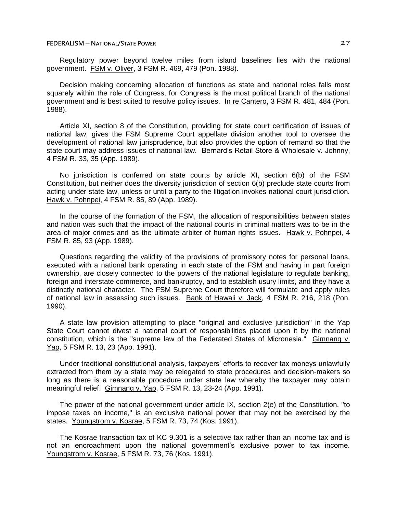Regulatory power beyond twelve miles from island baselines lies with the national government. FSM v. Oliver, 3 FSM R. 469, 479 (Pon. 1988).

Decision making concerning allocation of functions as state and national roles falls most squarely within the role of Congress, for Congress is the most political branch of the national government and is best suited to resolve policy issues. In re Cantero, 3 FSM R. 481, 484 (Pon. 1988).

Article XI, section 8 of the Constitution, providing for state court certification of issues of national law, gives the FSM Supreme Court appellate division another tool to oversee the development of national law jurisprudence, but also provides the option of remand so that the state court may address issues of national law. Bernard's Retail Store & Wholesale v. Johnny, 4 FSM R. 33, 35 (App. 1989).

No jurisdiction is conferred on state courts by article XI, section 6(b) of the FSM Constitution, but neither does the diversity jurisdiction of section 6(b) preclude state courts from acting under state law, unless or until a party to the litigation invokes national court jurisdiction. Hawk v. Pohnpei, 4 FSM R. 85, 89 (App. 1989).

In the course of the formation of the FSM, the allocation of responsibilities between states and nation was such that the impact of the national courts in criminal matters was to be in the area of major crimes and as the ultimate arbiter of human rights issues. Hawk v. Pohnpei, 4 FSM R. 85, 93 (App. 1989).

Questions regarding the validity of the provisions of promissory notes for personal loans, executed with a national bank operating in each state of the FSM and having in part foreign ownership, are closely connected to the powers of the national legislature to regulate banking, foreign and interstate commerce, and bankruptcy, and to establish usury limits, and they have a distinctly national character. The FSM Supreme Court therefore will formulate and apply rules of national law in assessing such issues. Bank of Hawaii v. Jack, 4 FSM R. 216, 218 (Pon. 1990).

A state law provision attempting to place "original and exclusive jurisdiction" in the Yap State Court cannot divest a national court of responsibilities placed upon it by the national constitution, which is the "supreme law of the Federated States of Micronesia." Gimnang v. Yap, 5 FSM R. 13, 23 (App. 1991).

Under traditional constitutional analysis, taxpayers' efforts to recover tax moneys unlawfully extracted from them by a state may be relegated to state procedures and decision-makers so long as there is a reasonable procedure under state law whereby the taxpayer may obtain meaningful relief. Gimnang v. Yap, 5 FSM R. 13, 23-24 (App. 1991).

The power of the national government under article IX, section 2(e) of the Constitution, "to impose taxes on income," is an exclusive national power that may not be exercised by the states. Youngstrom v. Kosrae, 5 FSM R. 73, 74 (Kos. 1991).

The Kosrae transaction tax of KC 9.301 is a selective tax rather than an income tax and is not an encroachment upon the national government's exclusive power to tax income. Youngstrom v. Kosrae, 5 FSM R. 73, 76 (Kos. 1991).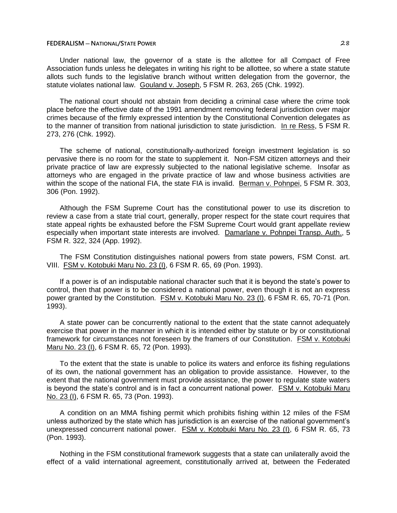Under national law, the governor of a state is the allottee for all Compact of Free Association funds unless he delegates in writing his right to be allottee, so where a state statute allots such funds to the legislative branch without written delegation from the governor, the statute violates national law. Gouland v. Joseph, 5 FSM R. 263, 265 (Chk. 1992).

The national court should not abstain from deciding a criminal case where the crime took place before the effective date of the 1991 amendment removing federal jurisdiction over major crimes because of the firmly expressed intention by the Constitutional Convention delegates as to the manner of transition from national jurisdiction to state jurisdiction. In re Ress, 5 FSM R. 273, 276 (Chk. 1992).

The scheme of national, constitutionally-authorized foreign investment legislation is so pervasive there is no room for the state to supplement it. Non-FSM citizen attorneys and their private practice of law are expressly subjected to the national legislative scheme. Insofar as attorneys who are engaged in the private practice of law and whose business activities are within the scope of the national FIA, the state FIA is invalid. Berman v. Pohnpei, 5 FSM R. 303, 306 (Pon. 1992).

Although the FSM Supreme Court has the constitutional power to use its discretion to review a case from a state trial court, generally, proper respect for the state court requires that state appeal rights be exhausted before the FSM Supreme Court would grant appellate review especially when important state interests are involved. Damarlane v. Pohnpei Transp. Auth., 5 FSM R. 322, 324 (App. 1992).

The FSM Constitution distinguishes national powers from state powers, FSM Const. art. VIII. FSM v. Kotobuki Maru No. 23 (I), 6 FSM R. 65, 69 (Pon. 1993).

If a power is of an indisputable national character such that it is beyond the state's power to control, then that power is to be considered a national power, even though it is not an express power granted by the Constitution. FSM v. Kotobuki Maru No. 23 (I), 6 FSM R. 65, 70-71 (Pon. 1993).

A state power can be concurrently national to the extent that the state cannot adequately exercise that power in the manner in which it is intended either by statute or by or constitutional framework for circumstances not foreseen by the framers of our Constitution. FSM v. Kotobuki Maru No. 23 (I), 6 FSM R. 65, 72 (Pon. 1993).

To the extent that the state is unable to police its waters and enforce its fishing regulations of its own, the national government has an obligation to provide assistance. However, to the extent that the national government must provide assistance, the power to regulate state waters is beyond the state's control and is in fact a concurrent national power. FSM v. Kotobuki Maru No. 23 (I), 6 FSM R. 65, 73 (Pon. 1993).

A condition on an MMA fishing permit which prohibits fishing within 12 miles of the FSM unless authorized by the state which has jurisdiction is an exercise of the national government's unexpressed concurrent national power. FSM v. Kotobuki Maru No. 23 (I), 6 FSM R. 65, 73 (Pon. 1993).

Nothing in the FSM constitutional framework suggests that a state can unilaterally avoid the effect of a valid international agreement, constitutionally arrived at, between the Federated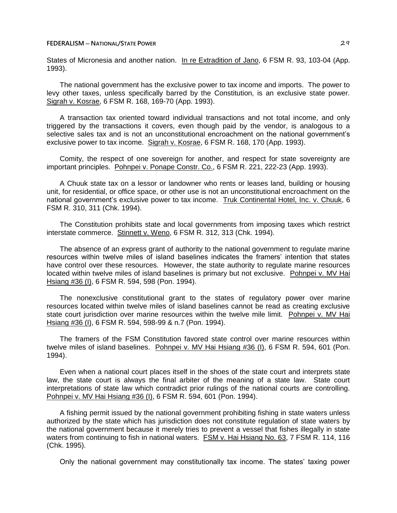States of Micronesia and another nation. In re Extradition of Jano, 6 FSM R. 93, 103-04 (App. 1993).

The national government has the exclusive power to tax income and imports. The power to levy other taxes, unless specifically barred by the Constitution, is an exclusive state power. Sigrah v. Kosrae, 6 FSM R. 168, 169-70 (App. 1993).

A transaction tax oriented toward individual transactions and not total income, and only triggered by the transactions it covers, even though paid by the vendor, is analogous to a selective sales tax and is not an unconstitutional encroachment on the national government's exclusive power to tax income. Sigrah v. Kosrae, 6 FSM R. 168, 170 (App. 1993).

Comity, the respect of one sovereign for another, and respect for state sovereignty are important principles. Pohnpei v. Ponape Constr. Co., 6 FSM R. 221, 222-23 (App. 1993).

A Chuuk state tax on a lessor or landowner who rents or leases land, building or housing unit, for residential, or office space, or other use is not an unconstitutional encroachment on the national government's exclusive power to tax income. Truk Continental Hotel, Inc. v. Chuuk, 6 FSM R. 310, 311 (Chk. 1994).

The Constitution prohibits state and local governments from imposing taxes which restrict interstate commerce. Stinnett v. Weno, 6 FSM R. 312, 313 (Chk. 1994).

The absence of an express grant of authority to the national government to regulate marine resources within twelve miles of island baselines indicates the framers' intention that states have control over these resources. However, the state authority to regulate marine resources located within twelve miles of island baselines is primary but not exclusive. Pohnpei v. MV Hai Hsiang #36 (I), 6 FSM R. 594, 598 (Pon. 1994).

The nonexclusive constitutional grant to the states of regulatory power over marine resources located within twelve miles of island baselines cannot be read as creating exclusive state court jurisdiction over marine resources within the twelve mile limit. Pohnpei v. MV Hai Hsiang #36 (I), 6 FSM R. 594, 598-99 & n.7 (Pon. 1994).

The framers of the FSM Constitution favored state control over marine resources within twelve miles of island baselines. Pohnpei v. MV Hai Hsiang #36 (I), 6 FSM R. 594, 601 (Pon. 1994).

Even when a national court places itself in the shoes of the state court and interprets state law, the state court is always the final arbiter of the meaning of a state law. State court interpretations of state law which contradict prior rulings of the national courts are controlling. Pohnpei v. MV Hai Hsiang #36 (I), 6 FSM R. 594, 601 (Pon. 1994).

A fishing permit issued by the national government prohibiting fishing in state waters unless authorized by the state which has jurisdiction does not constitute regulation of state waters by the national government because it merely tries to prevent a vessel that fishes illegally in state waters from continuing to fish in national waters. FSM v. Hai Hsiang No. 63, 7 FSM R. 114, 116 (Chk. 1995).

Only the national government may constitutionally tax income. The states' taxing power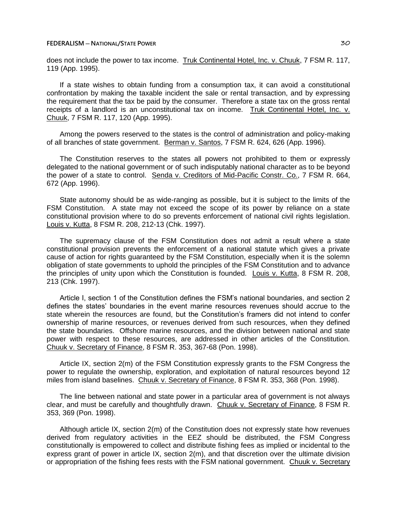does not include the power to tax income. Truk Continental Hotel, Inc. v. Chuuk, 7 FSM R. 117, 119 (App. 1995).

If a state wishes to obtain funding from a consumption tax, it can avoid a constitutional confrontation by making the taxable incident the sale or rental transaction, and by expressing the requirement that the tax be paid by the consumer. Therefore a state tax on the gross rental receipts of a landlord is an unconstitutional tax on income. Truk Continental Hotel, Inc. v. Chuuk, 7 FSM R. 117, 120 (App. 1995).

Among the powers reserved to the states is the control of administration and policy-making of all branches of state government. Berman v. Santos, 7 FSM R. 624, 626 (App. 1996).

The Constitution reserves to the states all powers not prohibited to them or expressly delegated to the national government or of such indisputably national character as to be beyond the power of a state to control. Senda v. Creditors of Mid-Pacific Constr. Co., 7 FSM R. 664, 672 (App. 1996).

State autonomy should be as wide-ranging as possible, but it is subject to the limits of the FSM Constitution. A state may not exceed the scope of its power by reliance on a state constitutional provision where to do so prevents enforcement of national civil rights legislation. Louis v. Kutta, 8 FSM R. 208, 212-13 (Chk. 1997).

The supremacy clause of the FSM Constitution does not admit a result where a state constitutional provision prevents the enforcement of a national statute which gives a private cause of action for rights guaranteed by the FSM Constitution, especially when it is the solemn obligation of state governments to uphold the principles of the FSM Constitution and to advance the principles of unity upon which the Constitution is founded. Louis v. Kutta, 8 FSM R. 208, 213 (Chk. 1997).

Article I, section 1 of the Constitution defines the FSM's national boundaries, and section 2 defines the states' boundaries in the event marine resources revenues should accrue to the state wherein the resources are found, but the Constitution's framers did not intend to confer ownership of marine resources, or revenues derived from such resources, when they defined the state boundaries. Offshore marine resources, and the division between national and state power with respect to these resources, are addressed in other articles of the Constitution. Chuuk v. Secretary of Finance, 8 FSM R. 353, 367-68 (Pon. 1998).

Article IX, section 2(m) of the FSM Constitution expressly grants to the FSM Congress the power to regulate the ownership, exploration, and exploitation of natural resources beyond 12 miles from island baselines. Chuuk v. Secretary of Finance, 8 FSM R. 353, 368 (Pon. 1998).

The line between national and state power in a particular area of government is not always clear, and must be carefully and thoughtfully drawn. Chuuk v. Secretary of Finance, 8 FSM R. 353, 369 (Pon. 1998).

Although article IX, section 2(m) of the Constitution does not expressly state how revenues derived from regulatory activities in the EEZ should be distributed, the FSM Congress constitutionally is empowered to collect and distribute fishing fees as implied or incidental to the express grant of power in article IX, section 2(m), and that discretion over the ultimate division or appropriation of the fishing fees rests with the FSM national government. Chuuk v. Secretary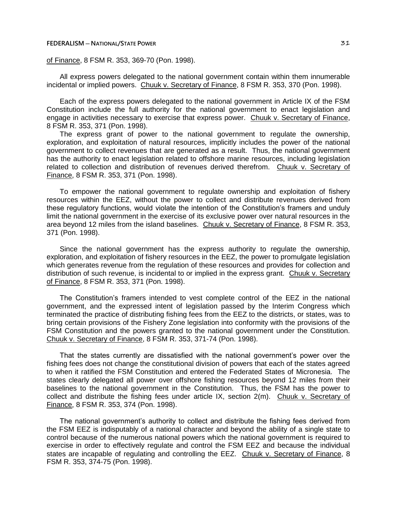### **FEDERALISM** — **NATIONAL/STATE POWER BOOTS**

# of Finance, 8 FSM R. 353, 369-70 (Pon. 1998).

All express powers delegated to the national government contain within them innumerable incidental or implied powers. Chuuk v. Secretary of Finance, 8 FSM R. 353, 370 (Pon. 1998).

Each of the express powers delegated to the national government in Article IX of the FSM Constitution include the full authority for the national government to enact legislation and engage in activities necessary to exercise that express power. Chuuk v. Secretary of Finance, 8 FSM R. 353, 371 (Pon. 1998).

The express grant of power to the national government to regulate the ownership, exploration, and exploitation of natural resources, implicitly includes the power of the national government to collect revenues that are generated as a result. Thus, the national government has the authority to enact legislation related to offshore marine resources, including legislation related to collection and distribution of revenues derived therefrom. Chuuk v. Secretary of Finance, 8 FSM R. 353, 371 (Pon. 1998).

To empower the national government to regulate ownership and exploitation of fishery resources within the EEZ, without the power to collect and distribute revenues derived from these regulatory functions, would violate the intention of the Constitution's framers and unduly limit the national government in the exercise of its exclusive power over natural resources in the area beyond 12 miles from the island baselines. Chuuk v. Secretary of Finance, 8 FSM R. 353, 371 (Pon. 1998).

Since the national government has the express authority to regulate the ownership, exploration, and exploitation of fishery resources in the EEZ, the power to promulgate legislation which generates revenue from the regulation of these resources and provides for collection and distribution of such revenue, is incidental to or implied in the express grant. Chuuk v. Secretary of Finance, 8 FSM R. 353, 371 (Pon. 1998).

The Constitution's framers intended to vest complete control of the EEZ in the national government, and the expressed intent of legislation passed by the Interim Congress which terminated the practice of distributing fishing fees from the EEZ to the districts, or states, was to bring certain provisions of the Fishery Zone legislation into conformity with the provisions of the FSM Constitution and the powers granted to the national government under the Constitution. Chuuk v. Secretary of Finance, 8 FSM R. 353, 371-74 (Pon. 1998).

That the states currently are dissatisfied with the national government's power over the fishing fees does not change the constitutional division of powers that each of the states agreed to when it ratified the FSM Constitution and entered the Federated States of Micronesia. The states clearly delegated all power over offshore fishing resources beyond 12 miles from their baselines to the national government in the Constitution. Thus, the FSM has the power to collect and distribute the fishing fees under article IX, section 2(m). Chuuk v. Secretary of Finance, 8 FSM R. 353, 374 (Pon. 1998).

The national government's authority to collect and distribute the fishing fees derived from the FSM EEZ is indisputably of a national character and beyond the ability of a single state to control because of the numerous national powers which the national government is required to exercise in order to effectively regulate and control the FSM EEZ and because the individual states are incapable of regulating and controlling the EEZ. Chuuk v. Secretary of Finance, 8 FSM R. 353, 374-75 (Pon. 1998).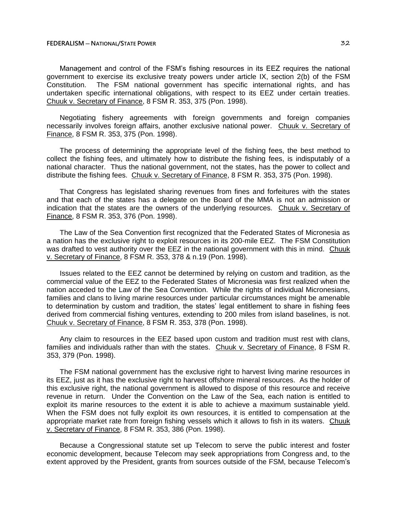Management and control of the FSM's fishing resources in its EEZ requires the national government to exercise its exclusive treaty powers under article IX, section 2(b) of the FSM Constitution. The FSM national government has specific international rights, and has undertaken specific international obligations, with respect to its EEZ under certain treaties. Chuuk v. Secretary of Finance, 8 FSM R. 353, 375 (Pon. 1998).

Negotiating fishery agreements with foreign governments and foreign companies necessarily involves foreign affairs, another exclusive national power. Chuuk v. Secretary of Finance, 8 FSM R. 353, 375 (Pon. 1998).

The process of determining the appropriate level of the fishing fees, the best method to collect the fishing fees, and ultimately how to distribute the fishing fees, is indisputably of a national character. Thus the national government, not the states, has the power to collect and distribute the fishing fees. Chuuk v. Secretary of Finance, 8 FSM R. 353, 375 (Pon. 1998).

That Congress has legislated sharing revenues from fines and forfeitures with the states and that each of the states has a delegate on the Board of the MMA is not an admission or indication that the states are the owners of the underlying resources. Chuuk v. Secretary of Finance, 8 FSM R. 353, 376 (Pon. 1998).

The Law of the Sea Convention first recognized that the Federated States of Micronesia as a nation has the exclusive right to exploit resources in its 200-mile EEZ. The FSM Constitution was drafted to vest authority over the EEZ in the national government with this in mind. Chuuk v. Secretary of Finance, 8 FSM R. 353, 378 & n.19 (Pon. 1998).

Issues related to the EEZ cannot be determined by relying on custom and tradition, as the commercial value of the EEZ to the Federated States of Micronesia was first realized when the nation acceded to the Law of the Sea Convention. While the rights of individual Micronesians, families and clans to living marine resources under particular circumstances might be amenable to determination by custom and tradition, the states' legal entitlement to share in fishing fees derived from commercial fishing ventures, extending to 200 miles from island baselines, is not. Chuuk v. Secretary of Finance, 8 FSM R. 353, 378 (Pon. 1998).

Any claim to resources in the EEZ based upon custom and tradition must rest with clans, families and individuals rather than with the states. Chuuk v. Secretary of Finance, 8 FSM R. 353, 379 (Pon. 1998).

The FSM national government has the exclusive right to harvest living marine resources in its EEZ, just as it has the exclusive right to harvest offshore mineral resources. As the holder of this exclusive right, the national government is allowed to dispose of this resource and receive revenue in return. Under the Convention on the Law of the Sea, each nation is entitled to exploit its marine resources to the extent it is able to achieve a maximum sustainable yield. When the FSM does not fully exploit its own resources, it is entitled to compensation at the appropriate market rate from foreign fishing vessels which it allows to fish in its waters. Chuuk v. Secretary of Finance, 8 FSM R. 353, 386 (Pon. 1998).

Because a Congressional statute set up Telecom to serve the public interest and foster economic development, because Telecom may seek appropriations from Congress and, to the extent approved by the President, grants from sources outside of the FSM, because Telecom's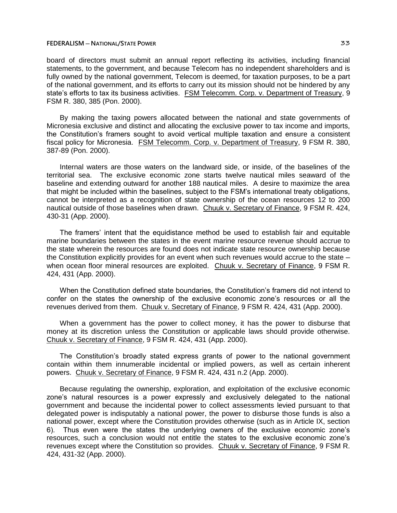board of directors must submit an annual report reflecting its activities, including financial statements, to the government, and because Telecom has no independent shareholders and is fully owned by the national government, Telecom is deemed, for taxation purposes, to be a part of the national government, and its efforts to carry out its mission should not be hindered by any state's efforts to tax its business activities. FSM Telecomm. Corp. v. Department of Treasury, 9 FSM R. 380, 385 (Pon. 2000).

By making the taxing powers allocated between the national and state governments of Micronesia exclusive and distinct and allocating the exclusive power to tax income and imports, the Constitution's framers sought to avoid vertical multiple taxation and ensure a consistent fiscal policy for Micronesia. FSM Telecomm. Corp. v. Department of Treasury, 9 FSM R. 380, 387-89 (Pon. 2000).

Internal waters are those waters on the landward side, or inside, of the baselines of the territorial sea. The exclusive economic zone starts twelve nautical miles seaward of the baseline and extending outward for another 188 nautical miles. A desire to maximize the area that might be included within the baselines, subject to the FSM's international treaty obligations, cannot be interpreted as a recognition of state ownership of the ocean resources 12 to 200 nautical outside of those baselines when drawn. Chuuk v. Secretary of Finance, 9 FSM R. 424, 430-31 (App. 2000).

The framers' intent that the equidistance method be used to establish fair and equitable marine boundaries between the states in the event marine resource revenue should accrue to the state wherein the resources are found does not indicate state resource ownership because the Constitution explicitly provides for an event when such revenues would accrue to the state  $$ when ocean floor mineral resources are exploited. Chuuk v. Secretary of Finance, 9 FSM R. 424, 431 (App. 2000).

When the Constitution defined state boundaries, the Constitution's framers did not intend to confer on the states the ownership of the exclusive economic zone's resources or all the revenues derived from them. Chuuk v. Secretary of Finance, 9 FSM R. 424, 431 (App. 2000).

When a government has the power to collect money, it has the power to disburse that money at its discretion unless the Constitution or applicable laws should provide otherwise. Chuuk v. Secretary of Finance, 9 FSM R. 424, 431 (App. 2000).

The Constitution's broadly stated express grants of power to the national government contain within them innumerable incidental or implied powers, as well as certain inherent powers. Chuuk v. Secretary of Finance, 9 FSM R. 424, 431 n.2 (App. 2000).

Because regulating the ownership, exploration, and exploitation of the exclusive economic zone's natural resources is a power expressly and exclusively delegated to the national government and because the incidental power to collect assessments levied pursuant to that delegated power is indisputably a national power, the power to disburse those funds is also a national power, except where the Constitution provides otherwise (such as in Article IX, section 6). Thus even were the states the underlying owners of the exclusive economic zone's resources, such a conclusion would not entitle the states to the exclusive economic zone's revenues except where the Constitution so provides. Chuuk v. Secretary of Finance, 9 FSM R. 424, 431-32 (App. 2000).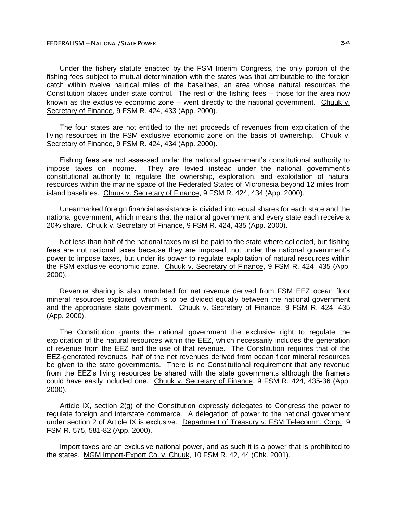Under the fishery statute enacted by the FSM Interim Congress, the only portion of the fishing fees subject to mutual determination with the states was that attributable to the foreign catch within twelve nautical miles of the baselines, an area whose natural resources the Constitution places under state control. The rest of the fishing fees – those for the area now known as the exclusive economic zone  $-$  went directly to the national government. Chuuk v. Secretary of Finance, 9 FSM R. 424, 433 (App. 2000).

The four states are not entitled to the net proceeds of revenues from exploitation of the living resources in the FSM exclusive economic zone on the basis of ownership. Chuuk v. Secretary of Finance, 9 FSM R. 424, 434 (App. 2000).

Fishing fees are not assessed under the national government's constitutional authority to impose taxes on income. They are levied instead under the national government's constitutional authority to regulate the ownership, exploration, and exploitation of natural resources within the marine space of the Federated States of Micronesia beyond 12 miles from island baselines. Chuuk v. Secretary of Finance, 9 FSM R. 424, 434 (App. 2000).

Unearmarked foreign financial assistance is divided into equal shares for each state and the national government, which means that the national government and every state each receive a 20% share. Chuuk v. Secretary of Finance, 9 FSM R. 424, 435 (App. 2000).

Not less than half of the national taxes must be paid to the state where collected, but fishing fees are not national taxes because they are imposed, not under the national government's power to impose taxes, but under its power to regulate exploitation of natural resources within the FSM exclusive economic zone. Chuuk v. Secretary of Finance, 9 FSM R. 424, 435 (App. 2000).

Revenue sharing is also mandated for net revenue derived from FSM EEZ ocean floor mineral resources exploited, which is to be divided equally between the national government and the appropriate state government. Chuuk v. Secretary of Finance, 9 FSM R. 424, 435 (App. 2000).

The Constitution grants the national government the exclusive right to regulate the exploitation of the natural resources within the EEZ, which necessarily includes the generation of revenue from the EEZ and the use of that revenue. The Constitution requires that of the EEZ-generated revenues, half of the net revenues derived from ocean floor mineral resources be given to the state governments. There is no Constitutional requirement that any revenue from the EEZ's living resources be shared with the state governments although the framers could have easily included one. Chuuk v. Secretary of Finance, 9 FSM R. 424, 435-36 (App. 2000).

Article IX, section 2(g) of the Constitution expressly delegates to Congress the power to regulate foreign and interstate commerce. A delegation of power to the national government under section 2 of Article IX is exclusive. Department of Treasury v. FSM Telecomm. Corp., 9 FSM R. 575, 581-82 (App. 2000).

Import taxes are an exclusive national power, and as such it is a power that is prohibited to the states. MGM Import-Export Co. v. Chuuk, 10 FSM R. 42, 44 (Chk. 2001).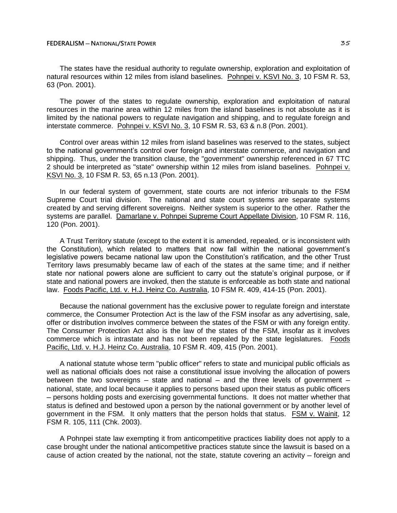### **FEDERALISM — NATIONAL/STATE POWER ALCORATION 25**

The states have the residual authority to regulate ownership, exploration and exploitation of natural resources within 12 miles from island baselines. Pohnpei v. KSVI No. 3, 10 FSM R. 53, 63 (Pon. 2001).

The power of the states to regulate ownership, exploration and exploitation of natural resources in the marine area within 12 miles from the island baselines is not absolute as it is limited by the national powers to regulate navigation and shipping, and to regulate foreign and interstate commerce. Pohnpei v. KSVI No. 3, 10 FSM R. 53, 63 & n.8 (Pon. 2001).

Control over areas within 12 miles from island baselines was reserved to the states, subject to the national government's control over foreign and interstate commerce, and navigation and shipping. Thus, under the transition clause, the "government" ownership referenced in 67 TTC 2 should be interpreted as "state" ownership within 12 miles from island baselines. Pohnpei v. KSVI No. 3, 10 FSM R. 53, 65 n.13 (Pon. 2001).

In our federal system of government, state courts are not inferior tribunals to the FSM Supreme Court trial division. The national and state court systems are separate systems created by and serving different sovereigns. Neither system is superior to the other. Rather the systems are parallel. Damarlane v. Pohnpei Supreme Court Appellate Division, 10 FSM R. 116, 120 (Pon. 2001).

A Trust Territory statute (except to the extent it is amended, repealed, or is inconsistent with the Constitution), which related to matters that now fall within the national government's legislative powers became national law upon the Constitution's ratification, and the other Trust Territory laws presumably became law of each of the states at the same time; and if neither state nor national powers alone are sufficient to carry out the statute's original purpose, or if state and national powers are invoked, then the statute is enforceable as both state and national law. Foods Pacific, Ltd. v. H.J. Heinz Co. Australia, 10 FSM R. 409, 414-15 (Pon. 2001).

Because the national government has the exclusive power to regulate foreign and interstate commerce, the Consumer Protection Act is the law of the FSM insofar as any advertising, sale, offer or distribution involves commerce between the states of the FSM or with any foreign entity. The Consumer Protection Act also is the law of the states of the FSM, insofar as it involves commerce which is intrastate and has not been repealed by the state legislatures. Foods Pacific, Ltd. v. H.J. Heinz Co. Australia, 10 FSM R. 409, 415 (Pon. 2001).

A national statute whose term "public officer" refers to state and municipal public officials as well as national officials does not raise a constitutional issue involving the allocation of powers between the two sovereigns  $-$  state and national  $-$  and the three levels of government  $$ national, state, and local because it applies to persons based upon their status as public officers ─ persons holding posts and exercising governmental functions. It does not matter whether that status is defined and bestowed upon a person by the national government or by another level of government in the FSM. It only matters that the person holds that status. FSM v. Wainit, 12 FSM R. 105, 111 (Chk. 2003).

A Pohnpei state law exempting it from anticompetitive practices liability does not apply to a case brought under the national anticompetitive practices statute since the lawsuit is based on a cause of action created by the national, not the state, statute covering an activity – foreign and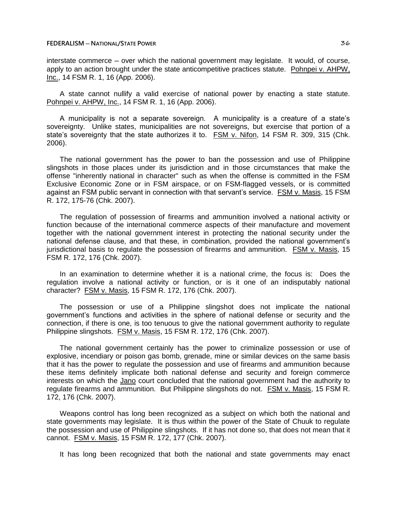interstate commerce – over which the national government may legislate. It would, of course, apply to an action brought under the state anticompetitive practices statute. Pohnpei v. AHPW, Inc., 14 FSM R. 1, 16 (App. 2006).

A state cannot nullify a valid exercise of national power by enacting a state statute. Pohnpei v. AHPW, Inc., 14 FSM R. 1, 16 (App. 2006).

A municipality is not a separate sovereign. A municipality is a creature of a state's sovereignty. Unlike states, municipalities are not sovereigns, but exercise that portion of a state's sovereignty that the state authorizes it to. FSM v. Nifon, 14 FSM R. 309, 315 (Chk. 2006).

The national government has the power to ban the possession and use of Philippine slingshots in those places under its jurisdiction and in those circumstances that make the offense "inherently national in character" such as when the offense is committed in the FSM Exclusive Economic Zone or in FSM airspace, or on FSM-flagged vessels, or is committed against an FSM public servant in connection with that servant's service. FSM v. Masis, 15 FSM R. 172, 175-76 (Chk. 2007).

The regulation of possession of firearms and ammunition involved a national activity or function because of the international commerce aspects of their manufacture and movement together with the national government interest in protecting the national security under the national defense clause, and that these, in combination, provided the national government's jurisdictional basis to regulate the possession of firearms and ammunition. FSM v. Masis, 15 FSM R. 172, 176 (Chk. 2007).

In an examination to determine whether it is a national crime, the focus is: Does the regulation involve a national activity or function, or is it one of an indisputably national character? FSM v. Masis, 15 FSM R. 172, 176 (Chk. 2007).

The possession or use of a Philippine slingshot does not implicate the national government's functions and activities in the sphere of national defense or security and the connection, if there is one, is too tenuous to give the national government authority to regulate Philippine slingshots. FSM v. Masis, 15 FSM R. 172, 176 (Chk. 2007).

The national government certainly has the power to criminalize possession or use of explosive, incendiary or poison gas bomb, grenade, mine or similar devices on the same basis that it has the power to regulate the possession and use of firearms and ammunition because these items definitely implicate both national defense and security and foreign commerce interests on which the Jano court concluded that the national government had the authority to regulate firearms and ammunition. But Philippine slingshots do not. FSM v. Masis, 15 FSM R. 172, 176 (Chk. 2007).

Weapons control has long been recognized as a subject on which both the national and state governments may legislate. It is thus within the power of the State of Chuuk to regulate the possession and use of Philippine slingshots. If it has not done so, that does not mean that it cannot. FSM v. Masis, 15 FSM R. 172, 177 (Chk. 2007).

It has long been recognized that both the national and state governments may enact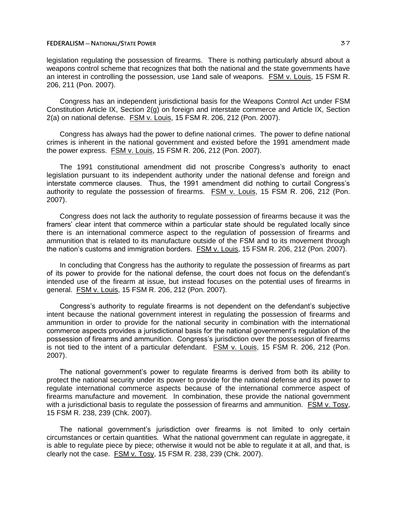### **FEDERALISM** — **NATIONAL/STATE POWER BUYER BUYER BUYER BUYER BUYER BUYER BUYER BUYER BUYER**

legislation regulating the possession of firearms. There is nothing particularly absurd about a weapons control scheme that recognizes that both the national and the state governments have an interest in controlling the possession, use 1and sale of weapons. FSM v. Louis, 15 FSM R. 206, 211 (Pon. 2007).

Congress has an independent jurisdictional basis for the Weapons Control Act under FSM Constitution Article IX, Section 2(g) on foreign and interstate commerce and Article IX, Section 2(a) on national defense. FSM v. Louis, 15 FSM R. 206, 212 (Pon. 2007).

Congress has always had the power to define national crimes. The power to define national crimes is inherent in the national government and existed before the 1991 amendment made the power express. FSM v. Louis, 15 FSM R. 206, 212 (Pon. 2007).

The 1991 constitutional amendment did not proscribe Congress's authority to enact legislation pursuant to its independent authority under the national defense and foreign and interstate commerce clauses. Thus, the 1991 amendment did nothing to curtail Congress's authority to regulate the possession of firearms. FSM v. Louis, 15 FSM R. 206, 212 (Pon. 2007).

Congress does not lack the authority to regulate possession of firearms because it was the framers' clear intent that commerce within a particular state should be regulated locally since there is an international commerce aspect to the regulation of possession of firearms and ammunition that is related to its manufacture outside of the FSM and to its movement through the nation's customs and immigration borders. FSM v. Louis, 15 FSM R. 206, 212 (Pon. 2007).

In concluding that Congress has the authority to regulate the possession of firearms as part of its power to provide for the national defense, the court does not focus on the defendant's intended use of the firearm at issue, but instead focuses on the potential uses of firearms in general. FSM v. Louis, 15 FSM R. 206, 212 (Pon. 2007).

Congress's authority to regulate firearms is not dependent on the defendant's subjective intent because the national government interest in regulating the possession of firearms and ammunition in order to provide for the national security in combination with the international commerce aspects provides a jurisdictional basis for the national government's regulation of the possession of firearms and ammunition. Congress's jurisdiction over the possession of firearms is not tied to the intent of a particular defendant. FSM v. Louis, 15 FSM R. 206, 212 (Pon. 2007).

The national government's power to regulate firearms is derived from both its ability to protect the national security under its power to provide for the national defense and its power to regulate international commerce aspects because of the international commerce aspect of firearms manufacture and movement. In combination, these provide the national government with a jurisdictional basis to regulate the possession of firearms and ammunition. FSM v. Tosy, 15 FSM R. 238, 239 (Chk. 2007).

The national government's jurisdiction over firearms is not limited to only certain circumstances or certain quantities. What the national government can regulate in aggregate, it is able to regulate piece by piece; otherwise it would not be able to regulate it at all, and that, is clearly not the case. FSM v. Tosy, 15 FSM R. 238, 239 (Chk. 2007).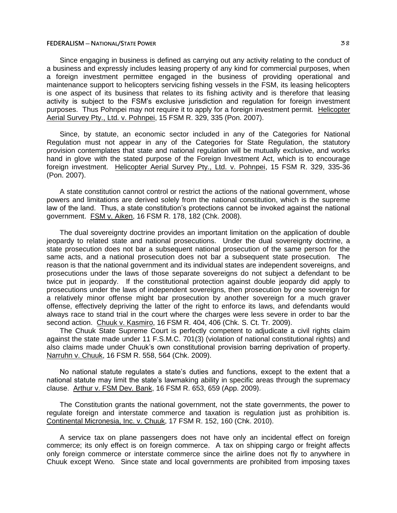Since engaging in business is defined as carrying out any activity relating to the conduct of a business and expressly includes leasing property of any kind for commercial purposes, when a foreign investment permittee engaged in the business of providing operational and maintenance support to helicopters servicing fishing vessels in the FSM, its leasing helicopters is one aspect of its business that relates to its fishing activity and is therefore that leasing activity is subject to the FSM's exclusive jurisdiction and regulation for foreign investment purposes. Thus Pohnpei may not require it to apply for a foreign investment permit. Helicopter Aerial Survey Pty., Ltd. v. Pohnpei, 15 FSM R. 329, 335 (Pon. 2007).

Since, by statute, an economic sector included in any of the Categories for National Regulation must not appear in any of the Categories for State Regulation, the statutory provision contemplates that state and national regulation will be mutually exclusive, and works hand in glove with the stated purpose of the Foreign Investment Act, which is to encourage foreign investment. Helicopter Aerial Survey Pty., Ltd. v. Pohnpei, 15 FSM R. 329, 335-36 (Pon. 2007).

A state constitution cannot control or restrict the actions of the national government, whose powers and limitations are derived solely from the national constitution, which is the supreme law of the land. Thus, a state constitution's protections cannot be invoked against the national government. FSM v. Aiken, 16 FSM R. 178, 182 (Chk. 2008).

The dual sovereignty doctrine provides an important limitation on the application of double jeopardy to related state and national prosecutions. Under the dual sovereignty doctrine, a state prosecution does not bar a subsequent national prosecution of the same person for the same acts, and a national prosecution does not bar a subsequent state prosecution. The reason is that the national government and its individual states are independent sovereigns, and prosecutions under the laws of those separate sovereigns do not subject a defendant to be twice put in jeopardy. If the constitutional protection against double jeopardy did apply to prosecutions under the laws of independent sovereigns, then prosecution by one sovereign for a relatively minor offense might bar prosecution by another sovereign for a much graver offense, effectively depriving the latter of the right to enforce its laws, and defendants would always race to stand trial in the court where the charges were less severe in order to bar the second action. Chuuk v. Kasmiro, 16 FSM R. 404, 406 (Chk. S. Ct. Tr. 2009).

The Chuuk State Supreme Court is perfectly competent to adjudicate a civil rights claim against the state made under 11 F.S.M.C. 701(3) (violation of national constitutional rights) and also claims made under Chuuk's own constitutional provision barring deprivation of property. Narruhn v. Chuuk, 16 FSM R. 558, 564 (Chk. 2009).

No national statute regulates a state's duties and functions, except to the extent that a national statute may limit the state's lawmaking ability in specific areas through the supremacy clause. Arthur v. FSM Dev. Bank, 16 FSM R. 653, 659 (App. 2009).

The Constitution grants the national government, not the state governments, the power to regulate foreign and interstate commerce and taxation is regulation just as prohibition is. Continental Micronesia, Inc. v. Chuuk, 17 FSM R. 152, 160 (Chk. 2010).

A service tax on plane passengers does not have only an incidental effect on foreign commerce; its only effect is on foreign commerce. A tax on shipping cargo or freight affects only foreign commerce or interstate commerce since the airline does not fly to anywhere in Chuuk except Weno. Since state and local governments are prohibited from imposing taxes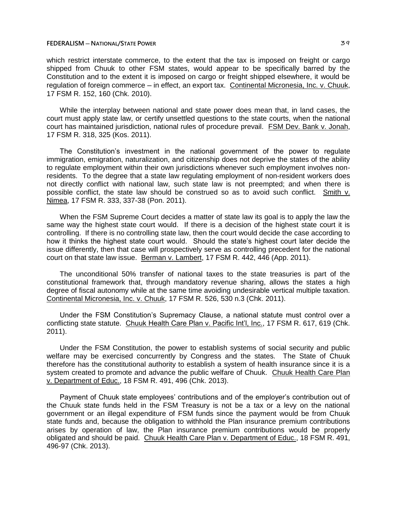### **FEDERALISM** — **NATIONAL/STATE POWER BUT ALLOWER 29**

which restrict interstate commerce, to the extent that the tax is imposed on freight or cargo shipped from Chuuk to other FSM states, would appear to be specifically barred by the Constitution and to the extent it is imposed on cargo or freight shipped elsewhere, it would be regulation of foreign commerce ─ in effect, an export tax. Continental Micronesia, Inc. v. Chuuk, 17 FSM R. 152, 160 (Chk. 2010).

While the interplay between national and state power does mean that, in land cases, the court must apply state law, or certify unsettled questions to the state courts, when the national court has maintained jurisdiction, national rules of procedure prevail. FSM Dev. Bank v. Jonah, 17 FSM R. 318, 325 (Kos. 2011).

The Constitution's investment in the national government of the power to regulate immigration, emigration, naturalization, and citizenship does not deprive the states of the ability to regulate employment within their own jurisdictions whenever such employment involves nonresidents. To the degree that a state law regulating employment of non-resident workers does not directly conflict with national law, such state law is not preempted; and when there is possible conflict, the state law should be construed so as to avoid such conflict. Smith v. Nimea, 17 FSM R. 333, 337-38 (Pon. 2011).

When the FSM Supreme Court decides a matter of state law its goal is to apply the law the same way the highest state court would. If there is a decision of the highest state court it is controlling. If there is no controlling state law, then the court would decide the case according to how it thinks the highest state court would. Should the state's highest court later decide the issue differently, then that case will prospectively serve as controlling precedent for the national court on that state law issue. Berman v. Lambert, 17 FSM R. 442, 446 (App. 2011).

The unconditional 50% transfer of national taxes to the state treasuries is part of the constitutional framework that, through mandatory revenue sharing, allows the states a high degree of fiscal autonomy while at the same time avoiding undesirable vertical multiple taxation. Continental Micronesia, Inc. v. Chuuk, 17 FSM R. 526, 530 n.3 (Chk. 2011).

Under the FSM Constitution's Supremacy Clause, a national statute must control over a conflicting state statute. Chuuk Health Care Plan v. Pacific Int'l, Inc., 17 FSM R. 617, 619 (Chk. 2011).

Under the FSM Constitution, the power to establish systems of social security and public welfare may be exercised concurrently by Congress and the states. The State of Chuuk therefore has the constitutional authority to establish a system of health insurance since it is a system created to promote and advance the public welfare of Chuuk. Chuuk Health Care Plan v. Department of Educ., 18 FSM R. 491, 496 (Chk. 2013).

Payment of Chuuk state employees' contributions and of the employer's contribution out of the Chuuk state funds held in the FSM Treasury is not be a tax or a levy on the national government or an illegal expenditure of FSM funds since the payment would be from Chuuk state funds and, because the obligation to withhold the Plan insurance premium contributions arises by operation of law, the Plan insurance premium contributions would be properly obligated and should be paid. Chuuk Health Care Plan v. Department of Educ., 18 FSM R. 491, 496-97 (Chk. 2013).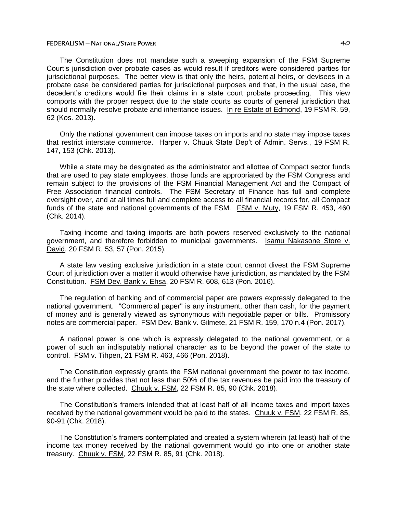The Constitution does not mandate such a sweeping expansion of the FSM Supreme Court's jurisdiction over probate cases as would result if creditors were considered parties for jurisdictional purposes. The better view is that only the heirs, potential heirs, or devisees in a probate case be considered parties for jurisdictional purposes and that, in the usual case, the decedent's creditors would file their claims in a state court probate proceeding. This view comports with the proper respect due to the state courts as courts of general jurisdiction that should normally resolve probate and inheritance issues. In re Estate of Edmond, 19 FSM R. 59, 62 (Kos. 2013).

Only the national government can impose taxes on imports and no state may impose taxes that restrict interstate commerce. Harper v. Chuuk State Dep't of Admin. Servs., 19 FSM R. 147, 153 (Chk. 2013).

While a state may be designated as the administrator and allottee of Compact sector funds that are used to pay state employees, those funds are appropriated by the FSM Congress and remain subject to the provisions of the FSM Financial Management Act and the Compact of Free Association financial controls. The FSM Secretary of Finance has full and complete oversight over, and at all times full and complete access to all financial records for, all Compact funds of the state and national governments of the FSM. FSM v. Muty, 19 FSM R. 453, 460 (Chk. 2014).

Taxing income and taxing imports are both powers reserved exclusively to the national government, and therefore forbidden to municipal governments. Isamu Nakasone Store v. David, 20 FSM R. 53, 57 (Pon. 2015).

A state law vesting exclusive jurisdiction in a state court cannot divest the FSM Supreme Court of jurisdiction over a matter it would otherwise have jurisdiction, as mandated by the FSM Constitution. FSM Dev. Bank v. Ehsa, 20 FSM R. 608, 613 (Pon. 2016).

The regulation of banking and of commercial paper are powers expressly delegated to the national government. "Commercial paper" is any instrument, other than cash, for the payment of money and is generally viewed as synonymous with negotiable paper or bills. Promissory notes are commercial paper. FSM Dev. Bank v. Gilmete, 21 FSM R. 159, 170 n.4 (Pon. 2017).

A national power is one which is expressly delegated to the national government, or a power of such an indisputably national character as to be beyond the power of the state to control. FSM v. Tihpen, 21 FSM R. 463, 466 (Pon. 2018).

The Constitution expressly grants the FSM national government the power to tax income, and the further provides that not less than 50% of the tax revenues be paid into the treasury of the state where collected. Chuuk v. FSM, 22 FSM R. 85, 90 (Chk. 2018).

The Constitution's framers intended that at least half of all income taxes and import taxes received by the national government would be paid to the states. Chuuk v. FSM, 22 FSM R. 85, 90-91 (Chk. 2018).

The Constitution's framers contemplated and created a system wherein (at least) half of the income tax money received by the national government would go into one or another state treasury. Chuuk v. FSM, 22 FSM R. 85, 91 (Chk. 2018).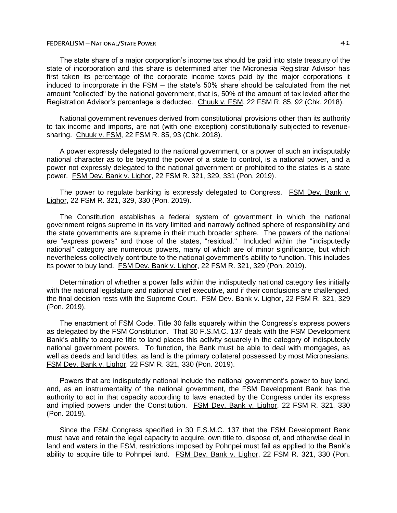The state share of a major corporation's income tax should be paid into state treasury of the state of incorporation and this share is determined after the Micronesia Registrar Advisor has first taken its percentage of the corporate income taxes paid by the major corporations it induced to incorporate in the FSM – the state's 50% share should be calculated from the net amount "collected" by the national government, that is, 50% of the amount of tax levied after the Registration Advisor's percentage is deducted. Chuuk v. FSM, 22 FSM R. 85, 92 (Chk. 2018).

National government revenues derived from constitutional provisions other than its authority to tax income and imports, are not (with one exception) constitutionally subjected to revenuesharing. Chuuk v. FSM, 22 FSM R. 85, 93 (Chk. 2018).

A power expressly delegated to the national government, or a power of such an indisputably national character as to be beyond the power of a state to control, is a national power, and a power not expressly delegated to the national government or prohibited to the states is a state power. FSM Dev. Bank v. Lighor, 22 FSM R. 321, 329, 331 (Pon. 2019).

The power to regulate banking is expressly delegated to Congress. FSM Dev. Bank v. Lighor, 22 FSM R. 321, 329, 330 (Pon. 2019).

The Constitution establishes a federal system of government in which the national government reigns supreme in its very limited and narrowly defined sphere of responsibility and the state governments are supreme in their much broader sphere. The powers of the national are "express powers" and those of the states, "residual." Included within the "indisputedly national" category are numerous powers, many of which are of minor significance, but which nevertheless collectively contribute to the national government's ability to function. This includes its power to buy land. FSM Dev. Bank v. Lighor, 22 FSM R. 321, 329 (Pon. 2019).

Determination of whether a power falls within the indisputedly national category lies initially with the national legislature and national chief executive, and if their conclusions are challenged, the final decision rests with the Supreme Court. FSM Dev. Bank v. Lighor, 22 FSM R. 321, 329 (Pon. 2019).

The enactment of FSM Code, Title 30 falls squarely within the Congress's express powers as delegated by the FSM Constitution. That 30 F.S.M.C. 137 deals with the FSM Development Bank's ability to acquire title to land places this activity squarely in the category of indisputedly national government powers. To function, the Bank must be able to deal with mortgages, as well as deeds and land titles, as land is the primary collateral possessed by most Micronesians. FSM Dev. Bank v. Lighor, 22 FSM R. 321, 330 (Pon. 2019).

Powers that are indisputedly national include the national government's power to buy land, and, as an instrumentality of the national government, the FSM Development Bank has the authority to act in that capacity according to laws enacted by the Congress under its express and implied powers under the Constitution. FSM Dev. Bank v. Lighor, 22 FSM R. 321, 330 (Pon. 2019).

Since the FSM Congress specified in 30 F.S.M.C. 137 that the FSM Development Bank must have and retain the legal capacity to acquire, own title to, dispose of, and otherwise deal in land and waters in the FSM, restrictions imposed by Pohnpei must fail as applied to the Bank's ability to acquire title to Pohnpei land. FSM Dev. Bank v. Lighor, 22 FSM R. 321, 330 (Pon.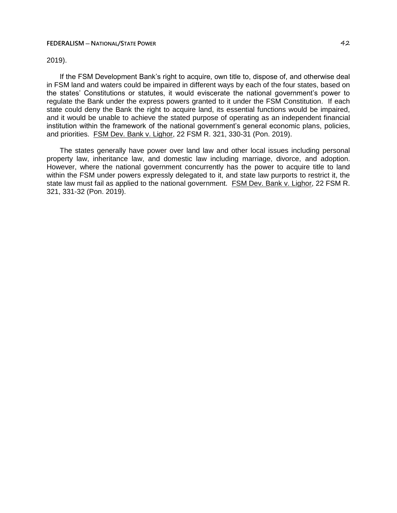## 2019).

If the FSM Development Bank's right to acquire, own title to, dispose of, and otherwise deal in FSM land and waters could be impaired in different ways by each of the four states, based on the states' Constitutions or statutes, it would eviscerate the national government's power to regulate the Bank under the express powers granted to it under the FSM Constitution. If each state could deny the Bank the right to acquire land, its essential functions would be impaired, and it would be unable to achieve the stated purpose of operating as an independent financial institution within the framework of the national government's general economic plans, policies, and priorities. FSM Dev. Bank v. Lighor, 22 FSM R. 321, 330-31 (Pon. 2019).

The states generally have power over land law and other local issues including personal property law, inheritance law, and domestic law including marriage, divorce, and adoption. However, where the national government concurrently has the power to acquire title to land within the FSM under powers expressly delegated to it, and state law purports to restrict it, the state law must fail as applied to the national government. FSM Dev. Bank v. Lighor, 22 FSM R. 321, 331-32 (Pon. 2019).